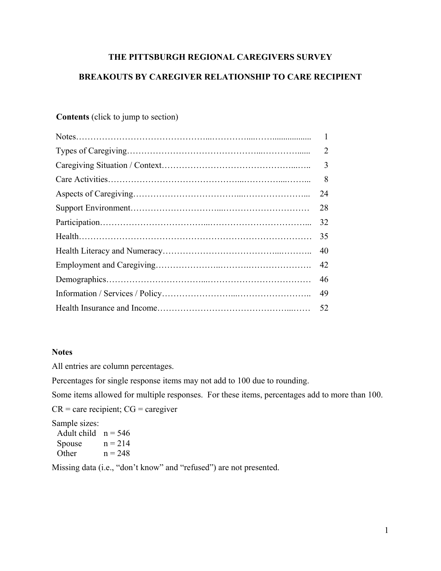# **THE PITTSBURGH REGIONAL CAREGIVERS SURVEY**

# **BREAKOUTS BY CAREGIVER RELATIONSHIP TO CARE RECIPIENT**

# **Contents** (click to jump to section)

| $\overline{2}$ |
|----------------|
| 3              |
| 8              |
| 24             |
| 28             |
| 32             |
| 35             |
| 40             |
| 42             |
| 46             |
| 49             |
| 52             |
|                |

## **Notes**

All entries are column percentages.

Percentages for single response items may not add to 100 due to rounding.

Some items allowed for multiple responses. For these items, percentages add to more than 100.

 $CR =$  care recipient;  $CG =$  caregiver

Sample sizes:

| Adult child $n = 546$ |           |
|-----------------------|-----------|
| Spouse                | $n = 214$ |
| Other                 | $n = 248$ |

Missing data (i.e., "don't know" and "refused") are not presented.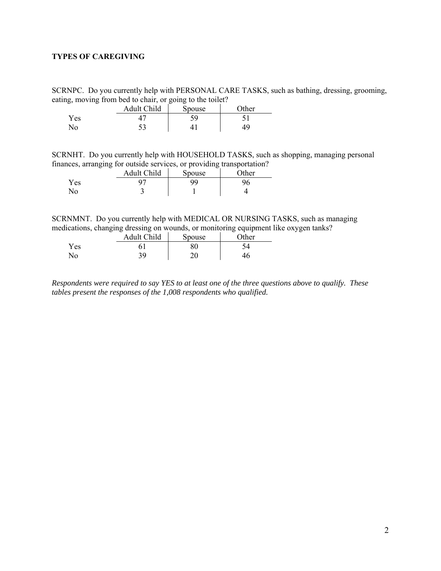## <span id="page-1-0"></span>**TYPES OF CAREGIVING**

SCRNPC. Do you currently help with PERSONAL CARE TASKS, such as bathing, dressing, grooming, eating, moving from bed to chair, or going to the toilet?

|     | <b>Adult Child</b> | Spouse | )ther |
|-----|--------------------|--------|-------|
| Yes |                    | 50     |       |
| No  | ر ر                |        |       |

SCRNHT. Do you currently help with HOUSEHOLD TASKS, such as shopping, managing personal finances, arranging for outside services, or providing transportation?

| .<br>$-$<br>- | Adult Child                   | -<br>-<br>Spouse | $\gamma$ ther |
|---------------|-------------------------------|------------------|---------------|
| Yes           |                               | aa               |               |
| No            | ∼<br>$\overline{\phantom{0}}$ |                  |               |

SCRNMNT. Do you currently help with MEDICAL OR NURSING TASKS, such as managing medications, changing dressing on wounds, or monitoring equipment like oxygen tanks?

|     | Adult Child | Spouse | Other |
|-----|-------------|--------|-------|
| Yes |             | o∩     |       |
| No  | <b>20</b>   | า∩     | 46    |

*Respondents were required to say YES to at least one of the three questions above to qualify. These tables present the responses of the 1,008 respondents who qualified.*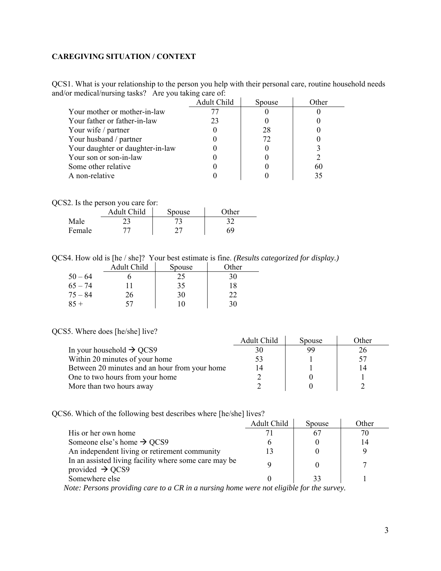## <span id="page-2-0"></span>**CAREGIVING SITUATION / CONTEXT**

QCS1. What is your relationship to the person you help with their personal care, routine household needs and/or medical/nursing tasks? Are you taking care of:

|                                  | Adult Child | Spouse | .)ther |
|----------------------------------|-------------|--------|--------|
| Your mother or mother-in-law     |             |        |        |
| Your father or father-in-law     | 23          |        |        |
| Your wife / partner              |             | 28     |        |
| Your husband / partner           |             | 72     |        |
| Your daughter or daughter-in-law |             |        |        |
| Your son or son-in-law           |             |        |        |
| Some other relative              |             |        | 60     |
| A non-relative                   |             |        | 35     |

|  |  | QCS2. Is the person you care for: |  |
|--|--|-----------------------------------|--|
|  |  |                                   |  |

|        | Adult Child | Spouse | $\gamma$ ther |  |
|--------|-------------|--------|---------------|--|
| Male   |             |        |               |  |
| Female |             |        | ĸ٩            |  |

QCS4. How old is [he / she]? Your best estimate is fine. *(Results categorized for display.)*

|           | Adult Child | Spouse | Other |
|-----------|-------------|--------|-------|
| $50 - 64$ |             | 25     | 30    |
| $65 - 74$ |             | 35     | 18    |
| $75 - 84$ | 26          | 30     | 22    |
| $85 +$    | 57          | 10     | 30    |

### QCS5. Where does [he/she] live?

| $55.$ where $000$ s $100$ $100$ $100$ .       |             |        |       |
|-----------------------------------------------|-------------|--------|-------|
|                                               | Adult Child | Spouse | Other |
| In your household $\rightarrow$ QCS9          | 30          | 99     | 26    |
| Within 20 minutes of your home                |             |        |       |
| Between 20 minutes and an hour from your home | 14          |        |       |
| One to two hours from your home               |             |        |       |
| More than two hours away                      |             |        |       |

QCS6. Which of the following best describes where [he/she] lives?

|                                                                                      | Adult Child | Spouse | Other |
|--------------------------------------------------------------------------------------|-------------|--------|-------|
| His or her own home                                                                  |             | 67     |       |
| Someone else's home $\rightarrow$ QCS9                                               |             |        | 14    |
| An independent living or retirement community                                        |             |        |       |
| In an assisted living facility where some care may be<br>provided $\rightarrow$ QCS9 |             |        |       |
| Somewhere else                                                                       |             | 33     |       |
|                                                                                      |             |        |       |

 *Note: Persons providing care to a CR in a nursing home were not eligible for the survey.*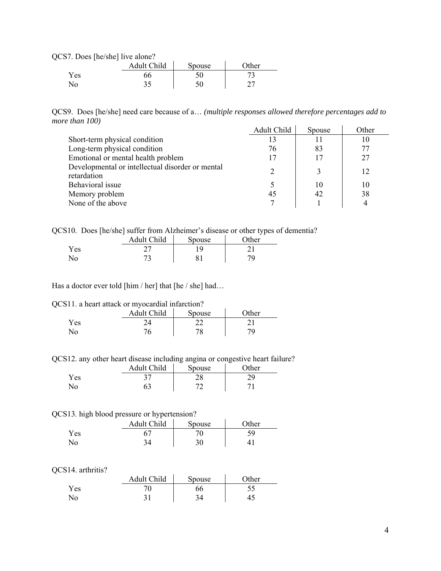QCS7. Does [he/she] live alone?

|      | Adult Child | Spouse | <b>Other</b> |
|------|-------------|--------|--------------|
| Y es |             | ◡◡     |              |
| N٥   | ን ሬ<br>ر. ر | ◡<br>v | ∼            |

QCS9. Does [he/she] need care because of a… *(multiple responses allowed therefore percentages add to more than 100)*  Adult Child Spouse Other

|                                                                 | Adult Child    | Spouse | Other |
|-----------------------------------------------------------------|----------------|--------|-------|
| Short-term physical condition                                   |                | 11     | 10    |
| Long-term physical condition                                    | 76             | 83     | 77    |
| Emotional or mental health problem                              | 17             | 17     | 27    |
| Developmental or intellectual disorder or mental<br>retardation | $\mathfrak{D}$ |        | 12    |
| Behavioral issue                                                |                | 10     | 10    |
| Memory problem                                                  | 45             | 42     | 38    |
| None of the above                                               |                |        |       |

QCS10. Does [he/she] suffer from Alzheimer's disease or other types of dementia?

| -    | -<br>Adult Child | Spouse | - -<br>$\gamma$ ther |
|------|------------------|--------|----------------------|
| r es |                  |        |                      |
|      | 70<br>ت -        | ດ∵     |                      |

Has a doctor ever told [him / her] that [he / she] had...

QCS11. a heart attack or myocardial infarction?

|     | Adult Child | Spouse        | $\gamma$ ther |
|-----|-------------|---------------|---------------|
| Yes |             | - -           |               |
| N٥  |             | 70<br>$\circ$ |               |

QCS12. any other heart disease including angina or congestive heart failure?

|     | Adult Child | Spouse | $\gamma$ ther |
|-----|-------------|--------|---------------|
| Yes |             | n G    |               |
| No. |             |        |               |

#### QCS13. high blood pressure or hypertension?

|                | Adult Child | Spouse | Other |
|----------------|-------------|--------|-------|
| <b>Yes</b>     |             | 70     | 50    |
| N <sub>0</sub> |             | 30     |       |

#### QCS14. arthritis?

|     | Adult Child | Spouse   | $\gamma$ ther |
|-----|-------------|----------|---------------|
| Yes |             | 66       | ر. ر          |
| No  | າ 1<br>◡    | 21<br>54 | 42            |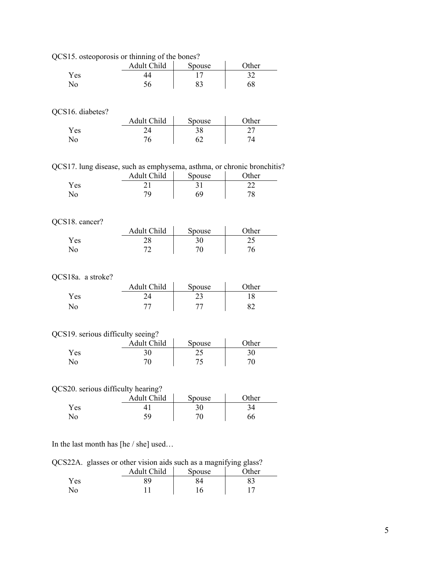|                                                                        | Adult Child | Spouse | Other |
|------------------------------------------------------------------------|-------------|--------|-------|
| Yes                                                                    | 44          | 17     | 32    |
| No                                                                     | 56          | 83     | 68    |
|                                                                        |             |        |       |
| QCS16. diabetes?                                                       |             |        |       |
|                                                                        | Adult Child | Spouse | Other |
| Yes                                                                    | 24          | 38     | 27    |
| No                                                                     | 76          | 62     | 74    |
|                                                                        |             |        |       |
| QCS17. lung disease, such as emphysema, asthma, or chronic bronchitis? |             |        |       |
|                                                                        | Adult Child | Spouse | Other |
| Yes                                                                    | 21          | 31     | 22    |
| No                                                                     | 79          | 69     | 78    |
|                                                                        |             |        |       |
| QCS18. cancer?                                                         |             |        |       |
|                                                                        | Adult Child | Spouse | Other |
| Yes                                                                    | 28          | 30     | 25    |
| No                                                                     | 72          | 70     | 76    |
|                                                                        |             |        |       |
| QCS18a. a stroke?                                                      |             |        |       |
|                                                                        | Adult Child | Spouse | Other |
| Yes                                                                    | 24          | 23     | 18    |
| No                                                                     | 77          | 77     | 82    |
|                                                                        |             |        |       |
| QCS19. serious difficulty seeing?                                      |             |        |       |
|                                                                        | Adult Child | Spouse | Other |
| Yes                                                                    | 30          | 25     | 30    |
| No                                                                     | 70          | 75     | 70    |
|                                                                        |             |        |       |
| QCS20. serious difficulty hearing?                                     |             |        |       |
|                                                                        | Adult Child | Spouse | Other |
|                                                                        |             |        |       |

QCS15. osteoporosis or thinning of the bones?

In the last month has [he / she] used…

|  |  |  | QCS22A. glasses or other vision aids such as a magnifying glass? |
|--|--|--|------------------------------------------------------------------|
|  |  |  |                                                                  |

Yes 41 30 34 No 59 70 66

| ~   | Adult Child | $\tilde{\phantom{a}}$<br>Spouse | -<br>- -<br>$\gamma$ ther |
|-----|-------------|---------------------------------|---------------------------|
| Yes | 30          |                                 |                           |
| No  |             | 16                              |                           |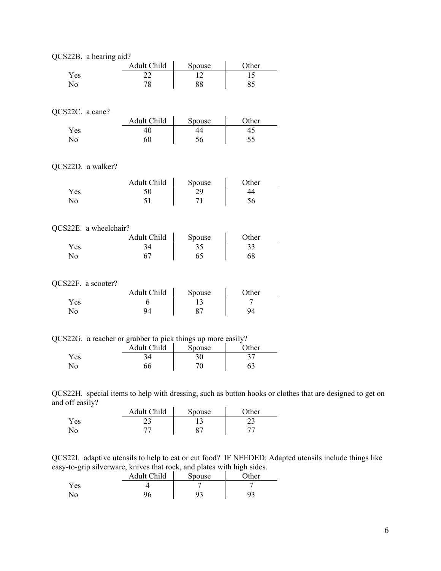|                       | QCS22B. a hearing aid? |        |       |  |  |  |  |
|-----------------------|------------------------|--------|-------|--|--|--|--|
|                       | Adult Child            | Spouse | Other |  |  |  |  |
| Yes                   | 22                     | 12     | 15    |  |  |  |  |
| No                    | 78                     | 88     | 85    |  |  |  |  |
|                       |                        |        |       |  |  |  |  |
|                       |                        |        |       |  |  |  |  |
| QCS22C. a cane?       |                        |        |       |  |  |  |  |
|                       | Adult Child            | Spouse | Other |  |  |  |  |
| Yes                   | 40                     | 44     | 45    |  |  |  |  |
| N <sub>o</sub>        | 60                     | 56     | 55    |  |  |  |  |
|                       |                        |        |       |  |  |  |  |
|                       |                        |        |       |  |  |  |  |
| QCS22D. a walker?     |                        |        |       |  |  |  |  |
|                       | Adult Child            | Spouse | Other |  |  |  |  |
| Yes                   | 50                     | 29     | 44    |  |  |  |  |
| N <sub>o</sub>        | 51                     | 71     | 56    |  |  |  |  |
|                       |                        |        |       |  |  |  |  |
|                       |                        |        |       |  |  |  |  |
| QCS22E. a wheelchair? |                        |        |       |  |  |  |  |
|                       | Adult Child            | Spouse | Other |  |  |  |  |
| Yes                   | 34                     | 35     | 33    |  |  |  |  |
| N <sub>o</sub>        | 67                     | 65     | 68    |  |  |  |  |
|                       |                        |        |       |  |  |  |  |
| QCS22F. a scooter?    |                        |        |       |  |  |  |  |
|                       | Adult Child            | Spouse | Other |  |  |  |  |
| Yes                   | 6                      | 13     | 7     |  |  |  |  |
| No                    | 94                     | 87     | 94    |  |  |  |  |
|                       |                        |        |       |  |  |  |  |

|  |  | QCS22G. a reacher or grabber to pick things up more easily? |
|--|--|-------------------------------------------------------------|
|  |  |                                                             |

|     | Adult Child | Spouse | $\gamma$ ther |
|-----|-------------|--------|---------------|
| Yes |             |        | ◡             |
| No  | 66          |        |               |

QCS22H. special items to help with dressing, such as button hooks or clothes that are designed to get on and off easily?

|            | Adult Child | Spouse | $\gamma$ ther |
|------------|-------------|--------|---------------|
| <b>Yes</b> |             |        | ∼             |
|            |             |        |               |

QCS22I. adaptive utensils to help to eat or cut food? IF NEEDED: Adapted utensils include things like easy-to-grip silverware, knives that rock, and plates with high sides.

| . . | Adult Child | Spouse | __<br>$\gamma$ ther |
|-----|-------------|--------|---------------------|
| Yes |             |        |                     |
| No  |             |        |                     |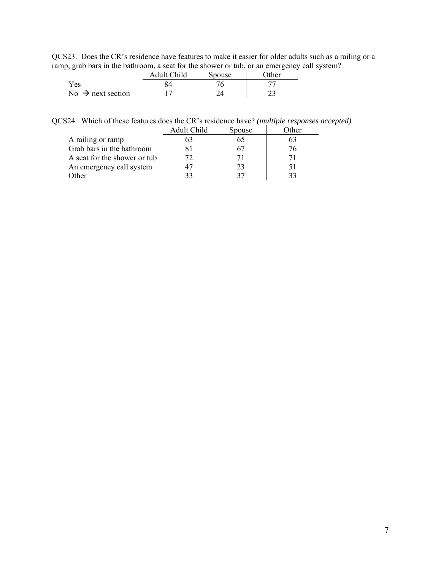QCS23. Does the CR's residence have features to make it easier for older adults such as a railing or a ramp, grab bars in the bathroom, a seat for the shower or tub, or an emergency call system?

|                               | Adult Child | Spouse | $\gamma$ ther |
|-------------------------------|-------------|--------|---------------|
| Yes                           |             |        |               |
| No $\rightarrow$ next section |             |        |               |

| QCS24. Which of these features does the CR's residence have? (multiple responses accepted) |  |
|--------------------------------------------------------------------------------------------|--|
|--------------------------------------------------------------------------------------------|--|

|                              | Adult Child | <b>Spouse</b> | )ther |
|------------------------------|-------------|---------------|-------|
| A railing or ramp            | ວ.ງ         |               |       |
| Grab bars in the bathroom    |             |               | 76    |
| A seat for the shower or tub | 72          |               |       |
| An emergency call system     |             | 23            | 51    |
| Other                        | 33          |               | 33    |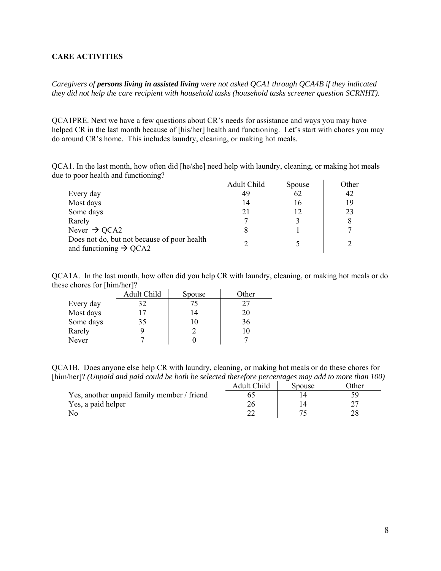## <span id="page-7-0"></span>**CARE ACTIVITIES**

*Caregivers of persons living in assisted living were not asked QCA1 through QCA4B if they indicated they did not help the care recipient with household tasks (household tasks screener question SCRNHT).* 

QCA1PRE. Next we have a few questions about CR's needs for assistance and ways you may have helped CR in the last month because of [his/her] health and functioning. Let's start with chores you may do around CR's home. This includes laundry, cleaning, or making hot meals.

QCA1. In the last month, how often did [he/she] need help with laundry, cleaning, or making hot meals due to poor health and functioning?

|                                                                                   | Adult Child | Spouse | Other |
|-----------------------------------------------------------------------------------|-------------|--------|-------|
| Every day                                                                         | 49          | 62     | 42    |
| Most days                                                                         | 14          | 16     | 19    |
| Some days                                                                         | 21          | 12     | 23    |
| Rarely                                                                            |             |        |       |
| Never $\rightarrow$ QCA2                                                          |             |        |       |
| Does not do, but not because of poor health<br>and functioning $\rightarrow$ QCA2 |             |        |       |

QCA1A. In the last month, how often did you help CR with laundry, cleaning, or making hot meals or do these chores for [him/her]?

|           | Adult Child | Spouse | Other |
|-----------|-------------|--------|-------|
| Every day | 32          | 75     | 27    |
| Most days | 17          | 14     | 20    |
| Some days | 35          | 10     | 36    |
| Rarely    |             |        | 10    |
| Never     |             |        |       |

QCA1B. Does anyone else help CR with laundry, cleaning, or making hot meals or do these chores for [him/her]? *(Unpaid and paid could be both be selected therefore percentages may add to more than 100)* 

|                                            | Adult Child | spouse | 7ther |
|--------------------------------------------|-------------|--------|-------|
| Yes, another unpaid family member / friend |             |        |       |
| Yes, a paid helper                         |             |        |       |
| Nο                                         |             |        |       |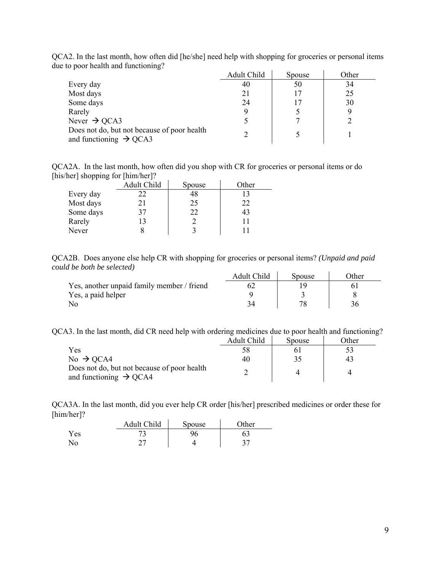|                                                                                   | Adult Child | Spouse | Other |
|-----------------------------------------------------------------------------------|-------------|--------|-------|
| Every day                                                                         | 40          | 50     | 34    |
| Most days                                                                         | 21          | 17     | 25    |
| Some days                                                                         | 24          | 17     | 30    |
| Rarely                                                                            |             |        |       |
| Never $\rightarrow$ QCA3                                                          |             |        |       |
| Does not do, but not because of poor health<br>and functioning $\rightarrow$ QCA3 |             |        |       |

QCA2. In the last month, how often did [he/she] need help with shopping for groceries or personal items due to poor health and functioning?

QCA2A. In the last month, how often did you shop with CR for groceries or personal items or do [his/her] shopping for [him/her]?  $\mathcal{L}$  $\bar{1}$ 

|           | Adult Child | Spouse | Other |
|-----------|-------------|--------|-------|
| Every day | 22          | 48     |       |
| Most days | 21          | 25     | フフ    |
| Some days | 37          | 22     | 43    |
| Rarely    | 13          |        |       |
| Never     |             |        |       |

QCA2B. Does anyone else help CR with shopping for groceries or personal items? *(Unpaid and paid could be both be selected)* 

|                                            | Adult Child | Spouse | <b>Other</b> |
|--------------------------------------------|-------------|--------|--------------|
| Yes, another unpaid family member / friend |             |        |              |
| Yes, a paid helper                         |             |        |              |
|                                            |             |        |              |

QCA3. In the last month, did CR need help with ordering medicines due to poor health and functioning?

|                                                                                   | Adult Child | Spouse | Other |
|-----------------------------------------------------------------------------------|-------------|--------|-------|
| Yes                                                                               |             |        |       |
| No $\rightarrow$ QCA4                                                             | 40          |        | 43    |
| Does not do, but not because of poor health<br>and functioning $\rightarrow$ QCA4 |             |        |       |

QCA3A. In the last month, did you ever help CR order [his/her] prescribed medicines or order these for [him/her]?

|     | Adult Child | Spouse | $\gamma$ ther |
|-----|-------------|--------|---------------|
| Yes |             |        |               |
| No. |             |        |               |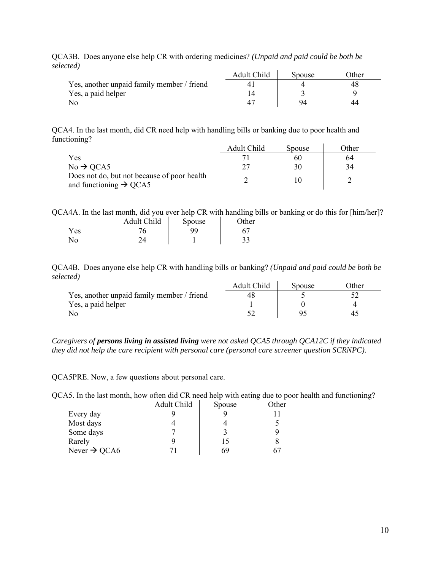| .                                          | Adult Child | Spouse | Other |
|--------------------------------------------|-------------|--------|-------|
| Yes, another unpaid family member / friend |             |        | 48    |
| Yes, a paid helper                         |             |        |       |
|                                            |             | 94     |       |

QCA3B. Does anyone else help CR with ordering medicines? *(Unpaid and paid could be both be selected)*

QCA4. In the last month, did CR need help with handling bills or banking due to poor health and functioning?

|                                                                                   | Adult Child | Spouse | Other |
|-----------------------------------------------------------------------------------|-------------|--------|-------|
| Yes                                                                               |             | 60     | 64    |
| $No \rightarrow QCA5$                                                             |             | 30     | 34    |
| Does not do, but not because of poor health<br>and functioning $\rightarrow$ QCA5 |             |        |       |

QCA4A. In the last month, did you ever help CR with handling bills or banking or do this for [him/her]? Adult Child Spouse General

|      | Augu Umu | <b>D</b> DUUSC | $_{\rm outel}$ |
|------|----------|----------------|----------------|
| Y es |          |                |                |
|      |          |                | ົ<br>ر ر       |

QCA4B. Does anyone else help CR with handling bills or banking? *(Unpaid and paid could be both be selected)*

|                                            | Adult Child | Spouse | )ther |
|--------------------------------------------|-------------|--------|-------|
| Yes, another unpaid family member / friend |             |        |       |
| Yes, a paid helper                         |             |        |       |
|                                            |             |        | 47    |

*Caregivers of persons living in assisted living were not asked QCA5 through QCA12C if they indicated they did not help the care recipient with personal care (personal care screener question SCRNPC).* 

QCA5PRE. Now, a few questions about personal care.

QCA5. In the last month, how often did CR need help with eating due to poor health and functioning?

|                          | Adult Child | Spouse | Other |
|--------------------------|-------------|--------|-------|
| Every day                |             |        |       |
| Most days                |             |        |       |
| Some days                |             |        |       |
| Rarely                   |             | 15     |       |
| Never $\rightarrow$ QCA6 |             | 69     |       |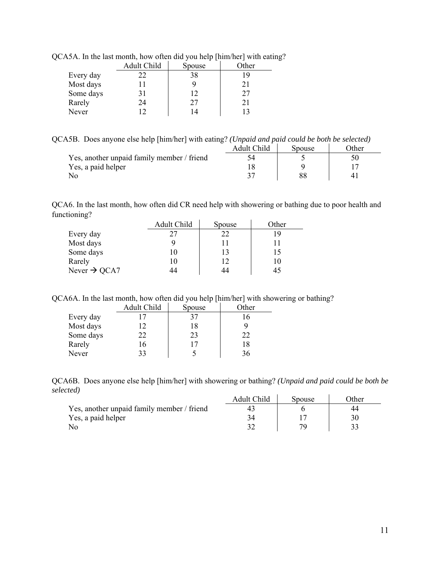|           | Adult Child | Spouse | Other |
|-----------|-------------|--------|-------|
| Every day | 22          | 38     |       |
| Most days |             | 9      | 21    |
| Some days | 31          | 12     | 27    |
| Rarely    | 24          | 27     | 21    |
| Never     | 12          | 14     |       |

QCA5A. In the last month, how often did you help [him/her] with eating?

QCA5B. Does anyone else help [him/her] with eating? *(Unpaid and paid could be both be selected)*

|                                            | Adult Child | Spouse | <b>Other</b> |
|--------------------------------------------|-------------|--------|--------------|
| Yes, another unpaid family member / friend |             |        |              |
| Yes, a paid helper                         |             |        |              |
|                                            |             |        |              |

QCA6. In the last month, how often did CR need help with showering or bathing due to poor health and functioning?

|                          | Adult Child | Spouse | Other |
|--------------------------|-------------|--------|-------|
| Every day                | 27          | 22     | 19    |
| Most days                |             |        |       |
| Some days                | 10          | 13     | 15    |
| Rarely                   | 10          | 12     | 10    |
| Never $\rightarrow$ QCA7 | 14          | 44     | 45    |

QCA6A. In the last month, how often did you help [him/her] with showering or bathing?

|           | Adult Child | Spouse | Other |
|-----------|-------------|--------|-------|
| Every day |             | 37     | 16    |
| Most days |             | 18     |       |
| Some days | 22          | 23     | 22    |
| Rarely    | 16          | 17     | 18    |
| Never     | 33          |        | 36    |

QCA6B. Does anyone else help [him/her] with showering or bathing? *(Unpaid and paid could be both be selected)*

|                                            | Adult Child | Spouse | )ther |
|--------------------------------------------|-------------|--------|-------|
| Yes, another unpaid family member / friend |             |        |       |
| Yes, a paid helper                         |             |        |       |
|                                            |             |        |       |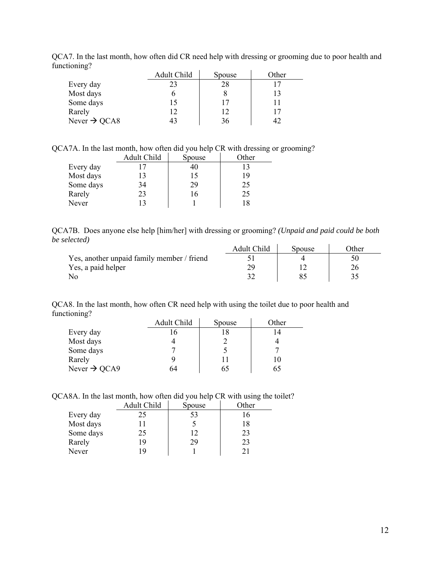|                          | Adult Child | Spouse | Other |
|--------------------------|-------------|--------|-------|
| Every day                | 23          | 28     |       |
| Most days                |             |        | 13    |
| Some days                |             |        |       |
| Rarely                   | 12          | 12     | 17    |
| Never $\rightarrow$ QCA8 |             | 36     |       |

QCA7. In the last month, how often did CR need help with dressing or grooming due to poor health and functioning?

QCA7A. In the last month, how often did you help CR with dressing or grooming?

|           | Adult Child | Spouse | Other |
|-----------|-------------|--------|-------|
| Every day | 17          | 40     | 13    |
| Most days | 13          | 15     | 19    |
| Some days | 34          | 29     | 25    |
| Rarely    | 23          | 16     | 25    |
| Never     | 13          |        | 18    |

QCA7B. Does anyone else help [him/her] with dressing or grooming? *(Unpaid and paid could be both be selected)*

|                                            | Adult Child | Spouse | )ther |
|--------------------------------------------|-------------|--------|-------|
| Yes, another unpaid family member / friend |             |        |       |
| Yes, a paid helper                         |             |        |       |
|                                            |             |        |       |

QCA8. In the last month, how often CR need help with using the toilet due to poor health and functioning?

|                          | Adult Child | Spouse | Other |
|--------------------------|-------------|--------|-------|
| Every day                | $\sqrt{2}$  |        |       |
| Most days                |             |        |       |
| Some days                |             |        |       |
| Rarely                   |             |        |       |
| Never $\rightarrow$ QCA9 | 54          | 65     |       |

QCA8A. In the last month, how often did you help CR with using the toilet?

|           | Adult Child | Spouse | Other |
|-----------|-------------|--------|-------|
| Every day | 25          | 53     |       |
| Most days |             |        | 18    |
| Some days | 25          |        | 23    |
| Rarely    | 19          | 29     | 23    |
| Never     | 19          |        |       |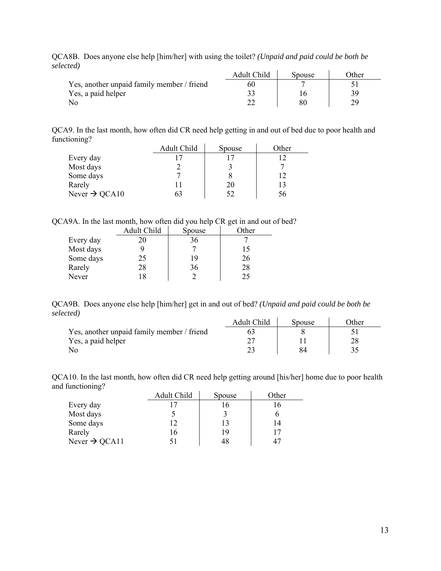| .                                          | Adult Child | <b>Spouse</b> | <b>Other</b> |
|--------------------------------------------|-------------|---------------|--------------|
| Yes, another unpaid family member / friend | 60          |               |              |
| Yes, a paid helper                         |             |               |              |
|                                            |             |               |              |

QCA8B. Does anyone else help [him/her] with using the toilet? *(Unpaid and paid could be both be selected)*

QCA9. In the last month, how often did CR need help getting in and out of bed due to poor health and functioning?

|                           | Adult Child | Spouse | Other |
|---------------------------|-------------|--------|-------|
| Every day                 |             |        | 12    |
| Most days                 |             |        |       |
| Some days                 |             |        | 12    |
| Rarely                    |             | 20     | 13    |
| Never $\rightarrow$ QCA10 | 63          | 52     | 56    |

QCA9A. In the last month, how often did you help CR get in and out of bed?

|           | Adult Child | Spouse | Other |
|-----------|-------------|--------|-------|
| Every day |             | 36     |       |
| Most days |             |        | 15    |
| Some days | 25          | 19     | 26    |
| Rarely    | 28          | 36     | 28    |
| Never     |             |        | 25    |

QCA9B. Does anyone else help [him/her] get in and out of bed? *(Unpaid and paid could be both be selected)*

|                                            | Adult Child | Spouse | )ther |
|--------------------------------------------|-------------|--------|-------|
| Yes, another unpaid family member / friend |             |        |       |
| Yes, a paid helper                         |             |        |       |
|                                            |             |        |       |

QCA10. In the last month, how often did CR need help getting around [his/her] home due to poor health and functioning?

|                           | Adult Child | Spouse | Other |
|---------------------------|-------------|--------|-------|
| Every day                 |             |        |       |
| Most days                 |             |        |       |
| Some days                 | 12          | 13     | 14    |
| Rarely                    | 16          | 19     | 17    |
| Never $\rightarrow$ QCA11 |             | 48     | 47    |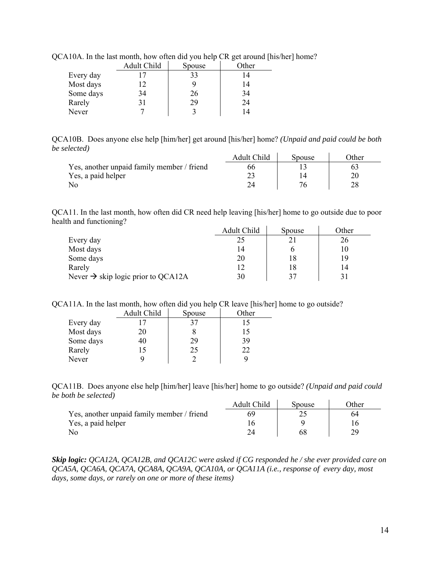|           | Adult Child | Spouse | Other |
|-----------|-------------|--------|-------|
| Every day |             | 33     | 14    |
| Most days | 12          |        | 14    |
| Some days | 34          | 26     | 34    |
| Rarely    |             | 29     | 24    |
| Never     |             |        | 14    |

QCA10A. In the last month, how often did you help CR get around [his/her] home?

QCA10B. Does anyone else help [him/her] get around [his/her] home? *(Unpaid and paid could be both be selected)*  $\Delta u$ lt Child  $\int$  Spaces  $\int$  Other

|                                            | Adult Child | Spouse | )ther |
|--------------------------------------------|-------------|--------|-------|
| Yes, another unpaid family member / friend | რრ          |        |       |
| Yes, a paid helper                         |             |        |       |
|                                            |             |        |       |

QCA11. In the last month, how often did CR need help leaving [his/her] home to go outside due to poor health and functioning?

|                                                | Adult Child | Spouse | Other |
|------------------------------------------------|-------------|--------|-------|
| Every day                                      | 25          |        | 26    |
| Most days                                      | 14          |        |       |
| Some days                                      | 20          |        | 19    |
| Rarely                                         |             |        |       |
| Never $\rightarrow$ skip logic prior to QCA12A | 30          |        |       |

QCA11A. In the last month, how often did you help CR leave [his/her] home to go outside?

|           | Adult Child | Spouse | Other |
|-----------|-------------|--------|-------|
| Every day | ר ו         | 37     | 15    |
| Most days | 20          |        | 15    |
| Some days | 40          | 29     | 39    |
| Rarely    | 15          | 25     | 22    |
| Never     |             |        |       |

QCA11B. Does anyone else help [him/her] leave [his/her] home to go outside? *(Unpaid and paid could be both be selected)*  $\Lambda$  dult Child  $\begin{bmatrix} 1 & 0 & 0 \\ 0 & 0 & 0 \\ 0 & 0 & 0 \end{bmatrix}$ 

|                                            | Adult Child | Spouse | <b>T</b> ther |
|--------------------------------------------|-------------|--------|---------------|
| Yes, another unpaid family member / friend |             |        |               |
| Yes, a paid helper                         |             |        |               |
| No                                         |             |        |               |

*Skip logic: QCA12A, QCA12B, and QCA12C were asked if CG responded he / she ever provided care on QCA5A, QCA6A, QCA7A, QCA8A, QCA9A, QCA10A, or QCA11A (i.e., response of every day, most days, some days, or rarely on one or more of these items)*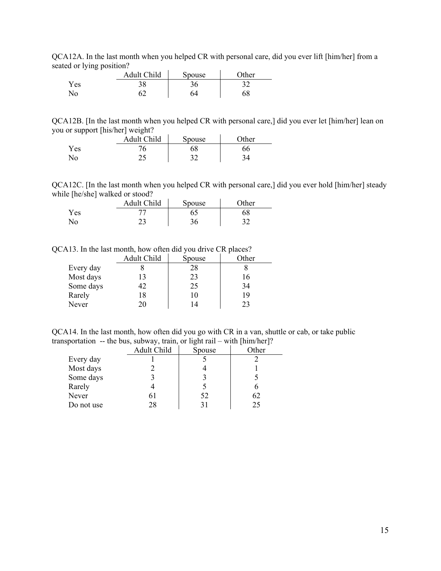QCA12A. In the last month when you helped CR with personal care, did you ever lift [him/her] from a seated or lying position?

|              | Adult Child | <b>Spouse</b> | $\gamma$ ther |
|--------------|-------------|---------------|---------------|
| <b>Yes</b>   | 20          | 36            | ົາ<br>ے ر     |
| $N_{\Omega}$ |             | 64            |               |

QCA12B. [In the last month when you helped CR with personal care,] did you ever let [him/her] lean on you or support [his/her] weight?  $\mathcal{L}(\mathcal{L})$ 

|     | Adult Child | <b>Spouse</b> | <b>Other</b> |
|-----|-------------|---------------|--------------|
| Yes | v           | 68            | 66           |
| No. | ر ت         | າາ            |              |

QCA12C. [In the last month when you helped CR with personal care,] did you ever hold [him/her] steady while [he/she] walked or stood?

|     | Adult Child | Spouse | <b>Other</b> |
|-----|-------------|--------|--------------|
| Yes |             |        | 68           |
| No  |             | 36     |              |

QCA13. In the last month, how often did you drive CR places?

|           | Adult Child | Spouse | Other |
|-----------|-------------|--------|-------|
| Every day |             | 28     |       |
| Most days |             | 23     | 16    |
| Some days |             | 25     | 34    |
| Rarely    | 18          | 10     | 19    |
| Never     | 20          | 14     | 23    |

QCA14. In the last month, how often did you go with CR in a van, shuttle or cab, or take public transportation -- the bus, subway, train, or light rail – with [him/her]?

|            | Adult Child | Spouse | Other |
|------------|-------------|--------|-------|
| Every day  |             |        |       |
| Most days  |             |        |       |
| Some days  |             |        |       |
| Rarely     |             |        |       |
| Never      | 6 I         | 52     | 62    |
| Do not use | 28          |        | 25    |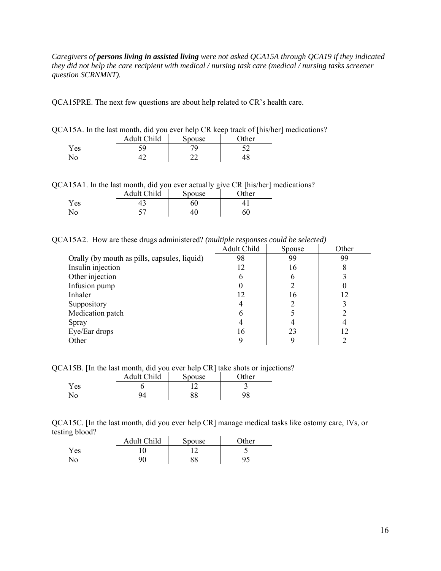*Caregivers of persons living in assisted living were not asked QCA15A through QCA19 if they indicated they did not help the care recipient with medical / nursing task care (medical / nursing tasks screener question SCRNMNT).* 

QCA15PRE. The next few questions are about help related to CR's health care.

| QCA15A. In the last month, did you ever help CR keep track of [his/her] medications? |                    |       |  |
|--------------------------------------------------------------------------------------|--------------------|-------|--|
|                                                                                      | Adult Child Spouse | Other |  |
| Yes.                                                                                 |                    |       |  |

|  |  |  |  |  | QCA15A1. In the last month, did you ever actually give CR [his/her] medications? |
|--|--|--|--|--|----------------------------------------------------------------------------------|
|  |  |  |  |  |                                                                                  |

|     | . .<br>Adult Child | Spouse | $\gamma$ ther |
|-----|--------------------|--------|---------------|
| Yes |                    |        |               |
| No  |                    |        |               |

No 42 22 48

QCA15A2. How are these drugs administered? *(multiple responses could be selected)* 

|                                              | Adult Child | Spouse | Other |
|----------------------------------------------|-------------|--------|-------|
| Orally (by mouth as pills, capsules, liquid) | 98          | 99     | 99    |
| Insulin injection                            |             | 16     | 8     |
| Other injection                              | h           | O      |       |
| Infusion pump                                |             |        |       |
| Inhaler                                      |             | 16     | 12    |
| Suppository                                  |             |        |       |
| Medication patch                             | n           |        |       |
| Spray                                        |             |        |       |
| Eye/Ear drops                                | 16          | 23     | 12    |
| Other                                        |             |        |       |

QCA15B. [In the last month, did you ever help CR] take shots or injections?

|     | <b>Adult Child</b> | Spouse   | $\gamma$ ther |
|-----|--------------------|----------|---------------|
| Yes |                    |          |               |
| No  | QΔ                 | oo<br>oο | 98            |

QCA15C. [In the last month, did you ever help CR] manage medical tasks like ostomy care, IVs, or testing blood?

|                | Adult Child | Spouse | $\gamma$ ther |
|----------------|-------------|--------|---------------|
| Yes            |             |        |               |
| N <sub>o</sub> |             | 88     |               |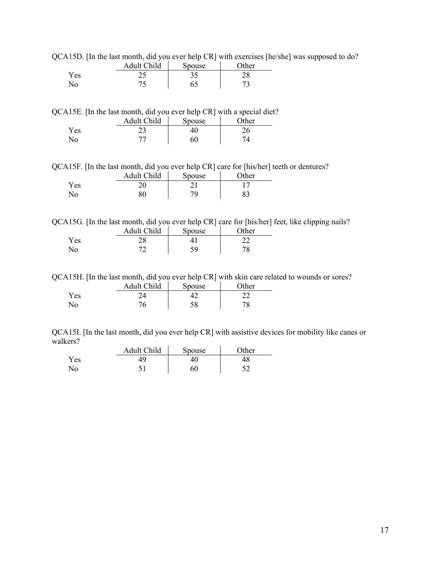QCA15D. [In the last month, did you ever help CR] with exercises [he/she] was supposed to do?

|              | Adult Child              | <b>Spouse</b> | $\gamma$ ther |
|--------------|--------------------------|---------------|---------------|
| Yes.         | ے ت                      | ر. ر          | າວ<br>20      |
| $N_{\Omega}$ | $\overline{\phantom{a}}$ |               | ت             |

QCA15E. [In the last month, did you ever help CR] with a special diet?

|     | Adult Child | <b>Spouse</b> | Other |
|-----|-------------|---------------|-------|
| Yes | ر ب         |               | ∠∪    |
| No. | ⇁           | 60            |       |

QCA15F. [In the last month, did you ever help CR] care for [his/her] teeth or dentures?

|     | Adult Child | Spouse | $\gamma$ ther |
|-----|-------------|--------|---------------|
| Yes |             |        |               |
| No  |             | 70     | 83            |

QCA15G. [In the last month, did you ever help CR] care for [his/her] feet, like clipping nails?

|            | Adult Child | Spouse    | Other |
|------------|-------------|-----------|-------|
| Yes        | ግ ር<br>د ت  |           |       |
| $\sqrt{0}$ |             | ۲۵<br>ر ر |       |

QCA15H. [In the last month, did you ever help CR] with skin care related to wounds or sores?

|      | Adult Child | Spouse | )ther |
|------|-------------|--------|-------|
| Y es |             |        |       |
| No   | 77          | IJΟ    | 70    |

QCA15I. [In the last month, did you ever help CR] with assistive devices for mobility like canes or walkers?

|     | Adult Child | Spouse | Other |
|-----|-------------|--------|-------|
| Yes | 49          |        | 48    |
| No  |             | 60     |       |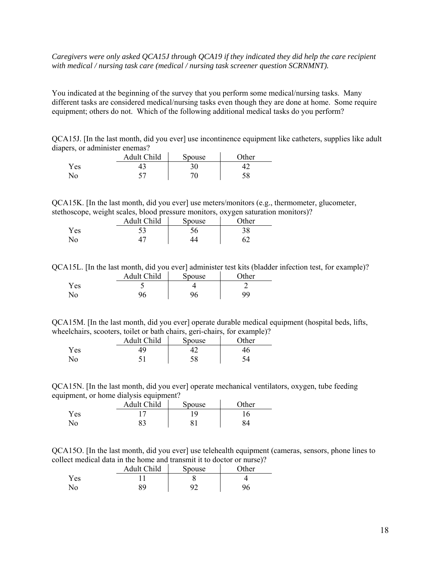### *Caregivers were only asked QCA15J through QCA19 if they indicated they did help the care recipient with medical / nursing task care (medical / nursing task screener question SCRNMNT).*

You indicated at the beginning of the survey that you perform some medical/nursing tasks. Many different tasks are considered medical/nursing tasks even though they are done at home. Some require equipment; others do not. Which of the following additional medical tasks do you perform?

QCA15J. [In the last month, did you ever] use incontinence equipment like catheters, supplies like adult diapers, or administer enemas?

|                        | Adult Child | Spouse | <b>Other</b> |
|------------------------|-------------|--------|--------------|
| Yes                    |             |        |              |
| $\mathcal{N}_{\Omega}$ |             | ¬∩     | IJΟ          |

QCA15K. [In the last month, did you ever] use meters/monitors (e.g., thermometer, glucometer, stethoscope, weight scales, blood pressure monitors, oxygen saturation monitors)?

|      | Adult Child | Spouse | $\gamma$ ther |
|------|-------------|--------|---------------|
| r es |             | 56     | 38            |
| No   |             |        | 62            |

QCA15L. [In the last month, did you ever] administer test kits (bladder infection test, for example)?

|     | Adult Child | Spouse | Other |
|-----|-------------|--------|-------|
| Yes |             |        |       |
| No. | 96          | 96     | QQ    |

QCA15M. [In the last month, did you ever] operate durable medical equipment (hospital beds, lifts, wheelchairs, scooters, toilet or bath chairs, geri-chairs, for example)?

|      | Adult Child | Spouse | $\gamma$ ther |
|------|-------------|--------|---------------|
| r es | 49          |        | ŀ6            |
| Νo   |             | 58     |               |

QCA15N. [In the last month, did you ever] operate mechanical ventilators, oxygen, tube feeding equipment, or home dialysis equipment?

|     | Adult Child | Spouse | $\gamma$ ther |
|-----|-------------|--------|---------------|
| Yes |             | 1 Q.   |               |
| No. | 83          | o      | 84            |

QCA15O. [In the last month, did you ever] use telehealth equipment (cameras, sensors, phone lines to collect medical data in the home and transmit it to doctor or nurse)?

|                    | Adult Child | Spouse | $\gamma$ ther |
|--------------------|-------------|--------|---------------|
| ${\rm v}_{\rm es}$ |             |        |               |
| No                 | 89          | Ω٦     | 96            |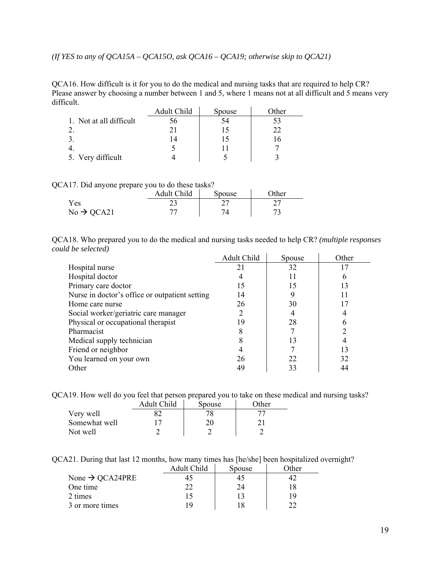*(If YES to any of QCA15A – QCA15O, ask QCA16 – QCA19; otherwise skip to QCA21)* 

QCA16. How difficult is it for you to do the medical and nursing tasks that are required to help CR? Please answer by choosing a number between 1 and 5, where 1 means not at all difficult and 5 means very difficult.

|                         | Adult Child | Spouse | Other |
|-------------------------|-------------|--------|-------|
| 1. Not at all difficult | JO.         |        |       |
|                         |             |        | つつ    |
|                         |             |        |       |
|                         |             |        |       |
| 5. Very difficult       |             |        |       |

QCA17. Did anyone prepare you to do these tasks?

|                        | Adult Child | Spouse | <b>T</b> ther |
|------------------------|-------------|--------|---------------|
| Yes                    | ر ب         |        |               |
| $No \rightarrow QCA21$ |             |        |               |

QCA18. Who prepared you to do the medical and nursing tasks needed to help CR? *(multiple responses could be selected)* 

|                                                | Adult Child | Spouse | Other |
|------------------------------------------------|-------------|--------|-------|
| Hospital nurse                                 | 21          | 32     |       |
| Hospital doctor                                |             | 11     | 0     |
| Primary care doctor                            | 15          | 15     | 13    |
| Nurse in doctor's office or outpatient setting | 14          |        |       |
| Home care nurse                                | 26          | 30     |       |
| Social worker/geriatric care manager           |             |        |       |
| Physical or occupational therapist             | 19          | 28     | 6     |
| Pharmacist                                     |             |        |       |
| Medical supply technician                      |             | 13     |       |
| Friend or neighbor                             |             |        | 13    |
| You learned on your own                        | 26          | 22     | 32    |
| Other                                          | 49          | 33     | 44    |

QCA19. How well do you feel that person prepared you to take on these medical and nursing tasks?

|               | Adult Child | Spouse | Other |
|---------------|-------------|--------|-------|
| Very well     |             |        |       |
| Somewhat well |             | 20     |       |
| Not well      |             |        |       |

QCA21. During that last 12 months, how many times has [he/she] been hospitalized overnight?

|                             | Adult Child | Spouse | Other |
|-----------------------------|-------------|--------|-------|
| None $\rightarrow$ QCA24PRE |             |        |       |
| One time                    | רי          | 24     |       |
| 2 times                     | 15          |        | ۱۹    |
| 3 or more times             | 1 Q         |        |       |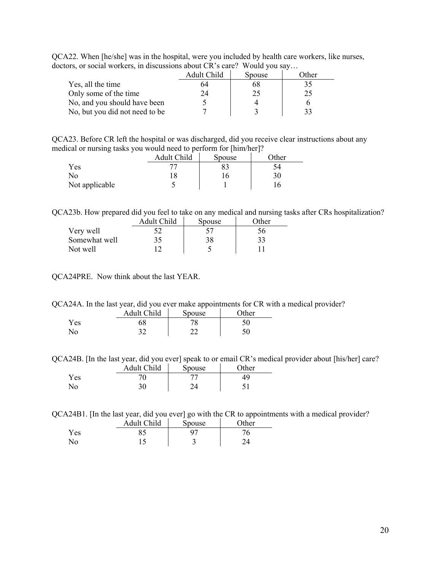| QCA22. When [he/she] was in the hospital, were you included by health care workers, like nurses, |  |
|--------------------------------------------------------------------------------------------------|--|
| doctors, or social workers, in discussions about CR's care? Would you say                        |  |

| $\sim$ . The contraction in the contraction we can create the contraction in $\sim$ |             |        |       |
|-------------------------------------------------------------------------------------|-------------|--------|-------|
|                                                                                     | Adult Child | Spouse | Other |
| Yes, all the time                                                                   | 64          | bδ     | 35    |
| Only some of the time                                                               | 24          |        | 25    |
| No, and you should have been                                                        |             |        |       |
| No, but you did not need to be                                                      |             |        |       |

QCA23. Before CR left the hospital or was discharged, did you receive clear instructions about any medical or nursing tasks you would need to perform for [him/her]?

| -<br>          | Adult Child | Spouse | -<br>$\gamma$ ther |
|----------------|-------------|--------|--------------------|
| Yes            |             |        | ىر                 |
| No             |             |        | 30                 |
| Not applicable |             |        |                    |

QCA23b. How prepared did you feel to take on any medical and nursing tasks after CRs hospitalization?

|               | Adult Child | Spouse | ∩ther |
|---------------|-------------|--------|-------|
| Very well     |             |        | 56    |
| Somewhat well | 35          | 38     | 33    |
| Not well      |             |        |       |

QCA24PRE. Now think about the last YEAR.

QCA24A. In the last year, did you ever make appointments for CR with a medical provider?

|     | Adult Child | <b>Spouse</b> | $\gamma$ ther |
|-----|-------------|---------------|---------------|
| Yes |             | 70            |               |
| N٥  | າາ          | າາ<br>- -     | 50            |

QCA24B. [In the last year, did you ever] speak to or email CR's medical provider about [his/her] care?

|      | Adult Child | Spouse | Other |
|------|-------------|--------|-------|
| Y es |             |        | 49    |
| No.  | 30          |        |       |

QCA24B1. [In the last year, did you ever] go with the CR to appointments with a medical provider?

|     | Adult Child | Spouse | $\gamma$ ther |
|-----|-------------|--------|---------------|
| Yes |             |        |               |
| No. |             | ب      |               |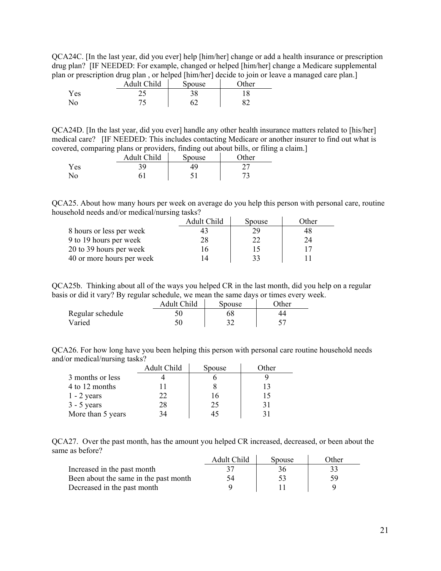QCA24C. [In the last year, did you ever] help [him/her] change or add a health insurance or prescription drug plan? [IF NEEDED: For example, changed or helped [him/her] change a Medicare supplemental plan or prescription drug plan , or helped [him/her] decide to join or leave a managed care plan.]

| <br>         | Adult Child | Spouse | $\Delta$ ther |
|--------------|-------------|--------|---------------|
| Yes          | י כ<br>ر ب  | 2 O    |               |
| $N_{\Omega}$ | 74          |        | o٩            |

QCA24D. [In the last year, did you ever] handle any other health insurance matters related to [his/her] medical care? [IF NEEDED: This includes contacting Medicare or another insurer to find out what is covered, comparing plans or providers, finding out about bills, or filing a claim.]

|     | Adult Child | Spouse | $\gamma$ ther |
|-----|-------------|--------|---------------|
| Yes | 3Q.         | 49     | ∸             |
| ง∩  |             |        |               |

QCA25. About how many hours per week on average do you help this person with personal care, routine household needs and/or medical/nursing tasks?

|                           | Adult Child | Spouse | Other |
|---------------------------|-------------|--------|-------|
| 8 hours or less per week  |             |        | 48    |
| 9 to 19 hours per week    | 28          | 22     | 24    |
| 20 to 39 hours per week   | 16          | 15     |       |
| 40 or more hours per week |             | 33     |       |

QCA25b. Thinking about all of the ways you helped CR in the last month, did you help on a regular basis or did it vary? By regular schedule, we mean the same days or times every week.

| -                | Adult Child | Spouse | $\Omega$ ther |
|------------------|-------------|--------|---------------|
| Regular schedule |             | 58     |               |
| Varied           |             |        |               |

QCA26. For how long have you been helping this person with personal care routine household needs and/or medical/nursing tasks?

|                   | Adult Child | Spouse | Other |
|-------------------|-------------|--------|-------|
| 3 months or less  |             |        |       |
| 4 to 12 months    |             |        |       |
| $1 - 2$ years     | 22          | . 6    |       |
| $3 - 5$ years     | 28          | 25     |       |
| More than 5 years |             |        |       |

QCA27. Over the past month, has the amount you helped CR increased, decreased, or been about the same as before?

|                                       | Adult Child | Spouse | Other |
|---------------------------------------|-------------|--------|-------|
| Increased in the past month           |             | 36     | 33    |
| Been about the same in the past month | 54          | 93     | 59    |
| Decreased in the past month           |             |        |       |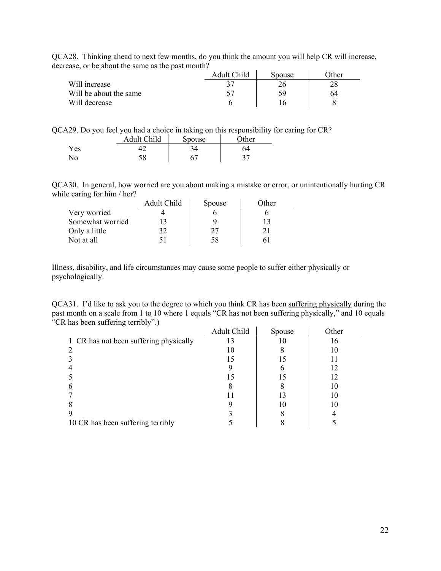| QCA28. Thinking ahead to next few months, do you think the amount you will help CR will increase,<br>decrease, or be about the same as the past month? |             |        |       |  |
|--------------------------------------------------------------------------------------------------------------------------------------------------------|-------------|--------|-------|--|
|                                                                                                                                                        | Adult Child | Spouse | Other |  |

|                        | Adult Child | Spouse | )ther |
|------------------------|-------------|--------|-------|
| Will increase          |             |        |       |
| Will be about the same |             | ٢y     | 64    |
| Will decrease          |             |        |       |

| QCA29. Do you feel you had a choice in taking on this responsibility for caring for CR? |  |  |  |  |  |  |  |  |  |  |
|-----------------------------------------------------------------------------------------|--|--|--|--|--|--|--|--|--|--|
|                                                                                         |  |  |  |  |  |  |  |  |  |  |

|                | Adult Child | Spouse | $\gamma$ ther |
|----------------|-------------|--------|---------------|
| Yes            |             |        | 64            |
| N <sub>0</sub> | სი          |        | ◡             |

QCA30. In general, how worried are you about making a mistake or error, or unintentionally hurting CR while caring for him / her?

|                  | Adult Child | Spouse | Other |
|------------------|-------------|--------|-------|
| Very worried     |             |        |       |
| Somewhat worried |             |        |       |
| Only a little    | 32          |        |       |
| Not at all       | 51          | 58     |       |

Illness, disability, and life circumstances may cause some people to suffer either physically or psychologically.

QCA31. I'd like to ask you to the degree to which you think CR has been suffering physically during the past month on a scale from 1 to 10 where 1 equals "CR has not been suffering physically," and 10 equals "CR has been suffering terribly".)

|                                        | Adult Child | Spouse | Other |
|----------------------------------------|-------------|--------|-------|
| 1 CR has not been suffering physically |             |        | 16    |
|                                        |             |        | 10    |
|                                        |             |        |       |
|                                        |             |        | 12    |
|                                        |             | 15     | 12    |
| h                                      |             |        | 10    |
|                                        |             |        | 10    |
|                                        |             | 10     | 10    |
|                                        |             |        |       |
| 10 CR has been suffering terribly      |             |        |       |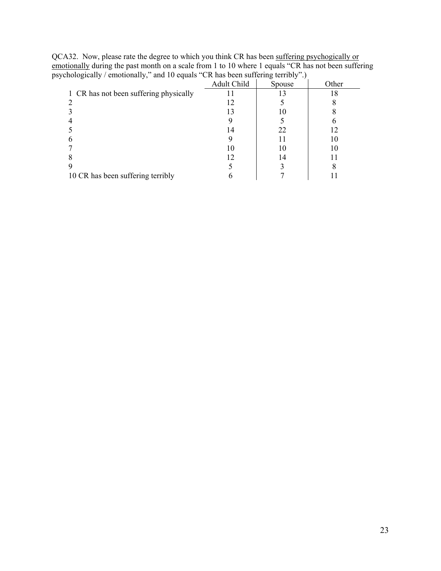| $\alpha$ enorground and the compact of the second substituting $\alpha$ . |             |        |       |  |
|---------------------------------------------------------------------------|-------------|--------|-------|--|
|                                                                           | Adult Child | Spouse | Other |  |
| 1 CR has not been suffering physically                                    |             |        |       |  |
|                                                                           |             |        |       |  |
|                                                                           |             |        |       |  |
|                                                                           |             |        |       |  |
|                                                                           | 14          | 22     |       |  |
|                                                                           |             |        | 10    |  |
|                                                                           | ГO          | 10     |       |  |
|                                                                           |             | 14     |       |  |
|                                                                           |             |        |       |  |
| 10 CR has been suffering terribly                                         |             |        |       |  |
|                                                                           |             |        |       |  |

QCA32. Now, please rate the degree to which you think CR has been suffering psychogically or emotionally during the past month on a scale from 1 to 10 where 1 equals "CR has not been suffering psychologically / emotionally," and 10 equals "CR has been suffering terribly".)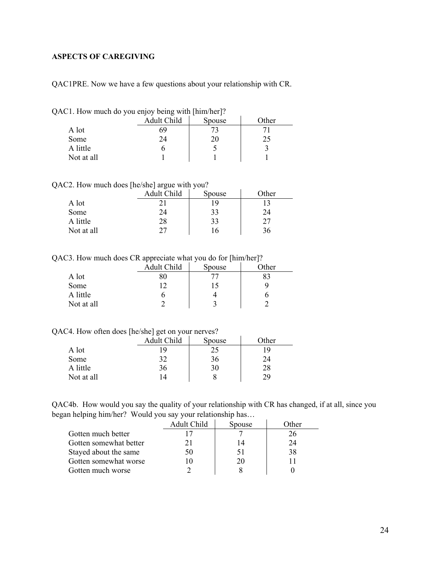## <span id="page-23-0"></span>**ASPECTS OF CAREGIVING**

QAC1PRE. Now we have a few questions about your relationship with CR.

|  |  |  |  | QAC1. How much do you enjoy being with [him/her]? |  |
|--|--|--|--|---------------------------------------------------|--|
|  |  |  |  |                                                   |  |

|            | Adult Child | Spouse | Other |
|------------|-------------|--------|-------|
| A lot      | 69          |        |       |
| Some       | 24          | 20     | 25    |
| A little   |             |        |       |
| Not at all |             |        |       |

QAC2. How much does [he/she] argue with you?

|            | -<br>Adult Child | . .<br>Spouse | )ther |
|------------|------------------|---------------|-------|
| A lot      |                  | <sup>Q</sup>  |       |
| Some       |                  | 33            | 24    |
| A little   | 28               | 33            | רר    |
| Not at all |                  | 16            |       |

QAC3. How much does CR appreciate what you do for [him/her]?

|            | . .<br>Adult Child | Spouse | -<br>Other |
|------------|--------------------|--------|------------|
| A lot      |                    |        | 83         |
| Some       |                    |        |            |
| A little   |                    |        |            |
| Not at all |                    |        |            |

QAC4. How often does [he/she] get on your nerves?

|            | Adult Child | Spouse | Other |
|------------|-------------|--------|-------|
| A lot      |             | 25     | 19    |
| Some       | つつ          | 36     | 24    |
| A little   | 36          | 30     | 28    |
| Not at all |             |        | 29    |

QAC4b. How would you say the quality of your relationship with CR has changed, if at all, since you began helping him/her? Would you say your relationship has…

|                        | Adult Child | Spouse | Other |
|------------------------|-------------|--------|-------|
| Gotten much better     |             |        |       |
| Gotten somewhat better |             |        | 74    |
| Stayed about the same  | 50          |        | 38    |
| Gotten somewhat worse  |             | ΖU     |       |
| Gotten much worse      |             |        |       |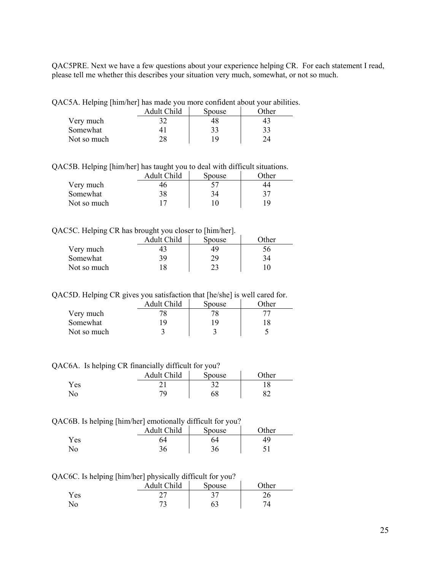QAC5PRE. Next we have a few questions about your experience helping CR. For each statement I read, please tell me whether this describes your situation very much, somewhat, or not so much.

QAC5A. Helping [him/her] has made you more confident about your abilities.

|             | Adult Child | Spouse | <b>)ther</b> |
|-------------|-------------|--------|--------------|
| Very much   | 32          | 48     | 43           |
| Somewhat    |             | 33     | 33           |
| Not so much | טר          | ۱۹     |              |

QAC5B. Helping [him/her] has taught you to deal with difficult situations.

|             | Adult Child | Spouse | : Other |
|-------------|-------------|--------|---------|
| Very much   | 46          |        |         |
| Somewhat    | 38          | 34     | 37      |
| Not so much |             | 10     | 19      |

### QAC5C. Helping CR has brought you closer to [him/her].

|             | Adult Child | Spouse | Other        |
|-------------|-------------|--------|--------------|
| Very much   | 43          | 49     | $56^{\circ}$ |
| Somewhat    | 39          |        | 74           |
| Not so much | 18          |        |              |

QAC5D. Helping CR gives you satisfaction that [he/she] is well cared for.

|             | Adult Child | Spouse | <b>Other</b> |
|-------------|-------------|--------|--------------|
| Very much   |             |        |              |
| Somewhat    | 1 Q         | ١y     |              |
| Not so much |             |        |              |

QAC6A. Is helping CR financially difficult for you?

| _<br>. . | Adult Child | Spouse                   | $\gamma$ ther |
|----------|-------------|--------------------------|---------------|
| Yes      |             | $\overline{\phantom{a}}$ | 10            |
| No       | 70.         | 68                       | െ             |

#### QAC6B. Is helping [him/her] emotionally difficult for you?

|     | Adult Child          | Spouse | <b>Ther</b> |
|-----|----------------------|--------|-------------|
| Yes | э4                   | 64     |             |
| No  | 2 <sub>L</sub><br>υU | υU     |             |

# QAC6C. Is helping [him/her] physically difficult for you?

|      | Adult Child | Spouse | $\gamma$ ther |
|------|-------------|--------|---------------|
| Y es | ∩−<br>، ،   |        | ∠∪            |
| No   |             | O3     |               |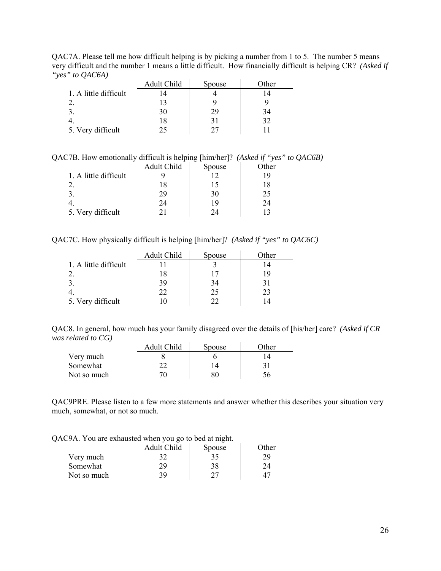QAC7A. Please tell me how difficult helping is by picking a number from 1 to 5. The number 5 means very difficult and the number 1 means a little difficult. How financially difficult is helping CR? *(Asked if "yes" to QAC6A)*

|                       | Adult Child | Spouse | Other |
|-----------------------|-------------|--------|-------|
| 1. A little difficult |             |        |       |
|                       |             |        |       |
|                       | 30          | 29     | 34    |
|                       |             |        | 32    |
| 5. Very difficult     |             | 27     |       |

QAC7B. How emotionally difficult is helping [him/her]? *(Asked if "yes" to QAC6B)* 

|                       | Adult Child | Spouse | )ther |
|-----------------------|-------------|--------|-------|
| 1. A little difficult |             |        |       |
|                       | 18          |        | 18    |
|                       | 29          | 30     | 25    |
|                       | 24          | 19     | 24    |
| 5. Very difficult     |             | 74     |       |

QAC7C. How physically difficult is helping [him/her]? *(Asked if "yes" to QAC6C)*

|                       | Adult Child | Spouse | Other |
|-----------------------|-------------|--------|-------|
| 1. A little difficult |             |        |       |
|                       |             |        | 19    |
|                       | 39          | 34     |       |
|                       |             | 25     | 23    |
| 5. Very difficult     |             | 22     |       |

QAC8. In general, how much has your family disagreed over the details of [his/her] care? *(Asked if CR was related to CG)* 

|             | Adult Child | Spouse | Other |
|-------------|-------------|--------|-------|
| Very much   |             |        |       |
| Somewhat    |             |        |       |
| Not so much |             | 80     |       |

QAC9PRE. Please listen to a few more statements and answer whether this describes your situation very much, somewhat, or not so much.

QAC9A. You are exhausted when you go to bed at night.

|             | Adult Child | Spouse | Other |
|-------------|-------------|--------|-------|
| Very much   |             |        |       |
| Somewhat    | 29          | 38     |       |
| Not so much | 39          |        |       |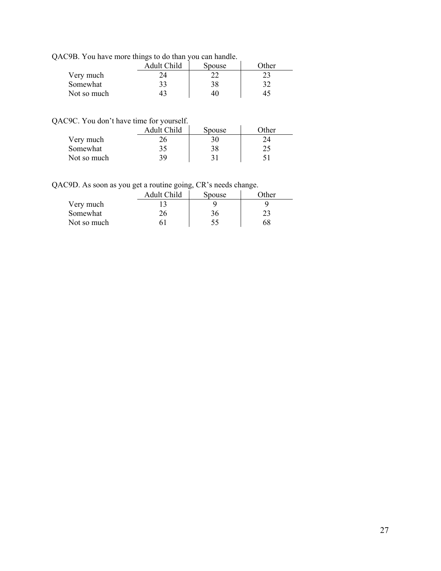|  |  |  |  | QAC9B. You have more things to do than you can handle. |
|--|--|--|--|--------------------------------------------------------|
|  |  |  |  |                                                        |

|             | Adult Child | Spouse | <b>Other</b> |
|-------------|-------------|--------|--------------|
| Very much   |             |        |              |
| Somewhat    |             | 38     |              |
| Not so much |             | 40     | $45^{\circ}$ |

QAC9C. You don't have time for yourself.

|             | Adult Child | Spouse | Other |
|-------------|-------------|--------|-------|
| Very much   |             |        |       |
| Somewhat    | 35          |        | າ ເ   |
| Not so much | 39          |        |       |

QAC9D. As soon as you get a routine going, CR's needs change.

|             | Adult Child | Spouse | Other |
|-------------|-------------|--------|-------|
| Very much   |             |        |       |
| Somewhat    |             | 36     |       |
| Not so much |             |        | 68    |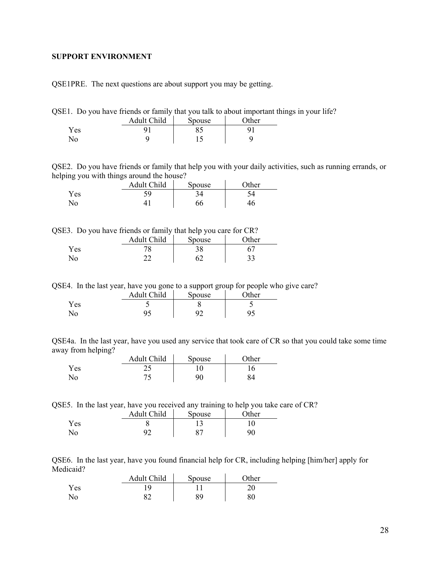#### <span id="page-27-0"></span>**SUPPORT ENVIRONMENT**

QSE1PRE. The next questions are about support you may be getting.

QSE1. Do you have friends or family that you talk to about important things in your life?

|      | Adult Child | Spouse | Other |
|------|-------------|--------|-------|
| Y es |             |        |       |
|      |             |        |       |

QSE2. Do you have friends or family that help you with your daily activities, such as running errands, or helping you with things around the house?

|     | Adult Child | Spouse | $\gamma$ ther |
|-----|-------------|--------|---------------|
| Yes | ر ب         |        |               |
| No  |             |        |               |

QSE3. Do you have friends or family that help you care for CR?

|              | Adult Child | . .<br><b>Spouse</b> | Other     |
|--------------|-------------|----------------------|-----------|
| <b>Yes</b>   |             | 20<br>20             |           |
| $N_{\Omega}$ | ົ           |                      | າາ<br>ر ر |

QSE4. In the last year, have you gone to a support group for people who give care?

|            | Adult Child | Spouse   | $\gamma$ ther |
|------------|-------------|----------|---------------|
| <b>Yes</b> | ັ           |          |               |
| No         | 14          | $\Omega$ | J۴            |

QSE4a. In the last year, have you used any service that took care of CR so that you could take some time away from helping?  $\mathbf{r}$ 

|      | Adult Child | Spouse | $\Delta$ ther |
|------|-------------|--------|---------------|
| Yes. | ر ب         |        |               |
| No   |             | 90-    |               |

QSE5. In the last year, have you received any training to help you take care of CR?

|            | Adult Child | <b>Spouse</b> | Other |
|------------|-------------|---------------|-------|
| <b>Yes</b> |             |               |       |
|            | -           |               | 90    |

QSE6. In the last year, have you found financial help for CR, including helping [him/her] apply for Medicaid?

|     | Adult Child | Spouse | <b>Other</b> |
|-----|-------------|--------|--------------|
| Yes |             |        | ∠∪           |
| N٥  | oη<br>←∠    | 89     | 80           |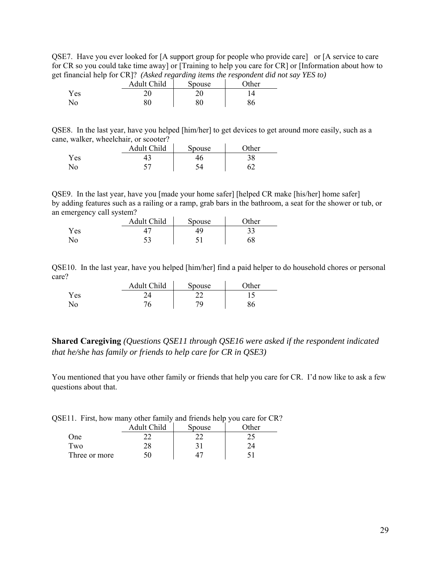QSE7. Have you ever looked for [A support group for people who provide care] or [A service to care for CR so you could take time away] or [Training to help you care for CR] or [Information about how to get financial help for CR]? *(Asked regarding items the respondent did not say YES to)* 

|     | Adult Child | Spouse | $\Omega$ ther |
|-----|-------------|--------|---------------|
| Yes | ว∩          | or     | $4^{\circ}$   |
| No  | 80          | 80     | 86            |

QSE8. In the last year, have you helped [him/her] to get devices to get around more easily, such as a cane, walker, wheelchair, or scooter?

|     | Adult Child | Spouse | $\gamma$ ther |
|-----|-------------|--------|---------------|
| Yes |             |        | 90            |
| No  | ັ           |        |               |

QSE9. In the last year, have you [made your home safer] [helped CR make [his/her] home safer] by adding features such as a railing or a ramp, grab bars in the bathroom, a seat for the shower or tub, or an emergency call system?

| . .  | Adult Child | Spouse | Other    |
|------|-------------|--------|----------|
| Y es |             |        | າາ<br>JJ |
| ง∩   | ر ر         |        | 68       |

QSE10. In the last year, have you helped [him/her] find a paid helper to do household chores or personal care?

|      | Adult Child | Spouse                   | $\gamma$ ther |
|------|-------------|--------------------------|---------------|
| Y es |             | $\overline{\phantom{a}}$ |               |
| No   |             | 70.                      |               |

**Shared Caregiving** *(Questions QSE11 through QSE16 were asked if the respondent indicated that he/she has family or friends to help care for CR in QSE3)*

You mentioned that you have other family or friends that help you care for CR. I'd now like to ask a few questions about that.

|  |  | QSE11. First, how many other family and friends help you care for CR? |
|--|--|-----------------------------------------------------------------------|
|  |  |                                                                       |

|               | Adult Child | Spouse | : Other |
|---------------|-------------|--------|---------|
| One           |             |        |         |
| Two           | 28          |        |         |
| Three or more |             |        |         |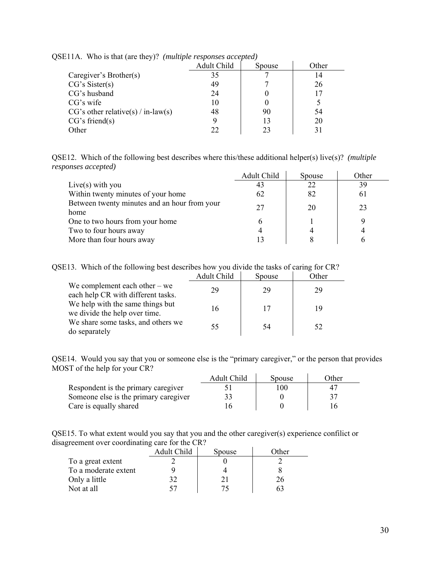|                                      | Adult Child | Spouse | Other |
|--------------------------------------|-------------|--------|-------|
| Caregiver's Brother(s)               | 35          |        | 14    |
| CG's Sister(s)                       | 49          |        | 26    |
| CG's husband                         | 24          |        | 17    |
| $CG's$ wife                          | 10          |        |       |
| $CG's other relative(s) / in-law(s)$ | 48          | 90     | 54    |
| CG's friend(s)                       |             | 13     | 20    |
| <b>Other</b>                         | າາ          | 23     |       |

QSE11A. Who is that (are they)? *(multiple responses accepted)*

QSE12. Which of the following best describes where this/these additional helper(s) live(s)? *(multiple responses accepted)*

|                                                      | Adult Child | Spouse | Other |
|------------------------------------------------------|-------------|--------|-------|
| Live(s) with you                                     | 43          | 22     | 39    |
| Within twenty minutes of your home                   | 62          | 82     | 61    |
| Between twenty minutes and an hour from your<br>home | 27          | 20     | 23    |
| One to two hours from your home                      |             |        |       |
| Two to four hours away                               |             |        |       |
| More than four hours away                            |             |        |       |

QSE13. Which of the following best describes how you divide the tasks of caring for CR?

|                                                                       | Adult Child | Spouse | )ther |
|-----------------------------------------------------------------------|-------------|--------|-------|
| We complement each other $-$ we<br>each help CR with different tasks. | 29          | 29     | 29    |
| We help with the same things but<br>we divide the help over time.     | 16          | 17     | 19    |
| We share some tasks, and others we<br>do separately                   | 55          | 54     | 52    |

QSE14. Would you say that you or someone else is the "primary caregiver," or the person that provides MOST of the help for your CR?

|                                       | Adult Child | Spouse | Other |
|---------------------------------------|-------------|--------|-------|
| Respondent is the primary caregiver   |             | 100    | 47    |
| Someone else is the primary caregiver |             |        | 37    |
| Care is equally shared                |             |        |       |

QSE15. To what extent would you say that you and the other caregiver(s) experience confilict or disagreement over coordinating care for the CR?

| ຼ                    | Adult Child | Spouse | Other |
|----------------------|-------------|--------|-------|
| To a great extent    |             |        |       |
| To a moderate extent |             |        |       |
| Only a little        |             |        |       |
| Not at all           |             |        |       |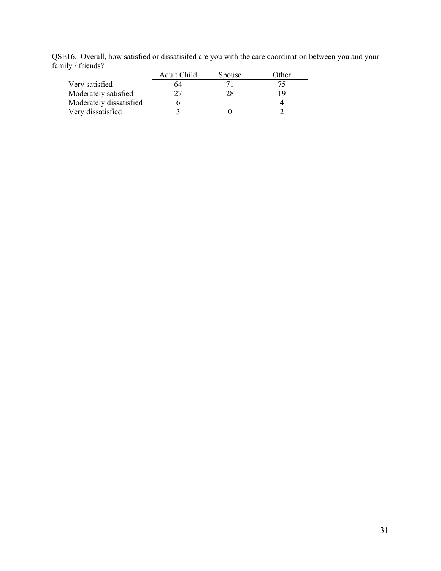QSE16. Overall, how satisfied or dissatisifed are you with the care coordination between you and your family / friends?

|                         | Adult Child | Spouse | Other |
|-------------------------|-------------|--------|-------|
| Very satisfied          | 64          |        | 75    |
| Moderately satisfied    |             | 28     | 19    |
| Moderately dissatisfied |             |        |       |
| Very dissatisfied       |             |        |       |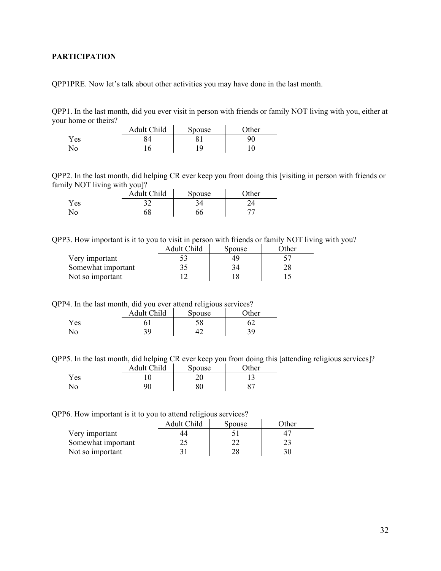## <span id="page-31-0"></span>**PARTICIPATION**

QPP1PRE. Now let's talk about other activities you may have done in the last month.

QPP1. In the last month, did you ever visit in person with friends or family NOT living with you, either at your home or theirs?

|     | Adult Child | Spouse | $\Omega$ ther |
|-----|-------------|--------|---------------|
| Yes |             |        | 90            |
| No  |             | 1 Q    |               |

QPP2. In the last month, did helping CR ever keep you from doing this [visiting in person with friends or family NOT living with you]?

|     | Adult Child | Spouse | $\gamma$ ther |
|-----|-------------|--------|---------------|
| Yes | ◡▵          |        |               |
| No  | 68          | ახ     |               |

QPP3. How important is it to you to visit in person with friends or family NOT living with you?

|                    | Adult Child | Spouse | Other |
|--------------------|-------------|--------|-------|
| Very important     |             |        |       |
| Somewhat important |             |        |       |
| Not so important   |             |        |       |

QPP4. In the last month, did you ever attend religious services?

|     | Adult Child | Spouse | Other |
|-----|-------------|--------|-------|
| Yes |             | 58     |       |
| No  | 30          |        | 30    |

QPP5. In the last month, did helping CR ever keep you from doing this [attending religious services]?

|     | <b>Adult Child</b> | Spouse | $\gamma$ ther |
|-----|--------------------|--------|---------------|
| Yes |                    | U      |               |
| No. | 90                 | 80     |               |

QPP6. How important is it to you to attend religious services?

|                    | Adult Child | Spouse | Other |
|--------------------|-------------|--------|-------|
| Very important     |             |        |       |
| Somewhat important |             |        |       |
| Not so important   |             |        |       |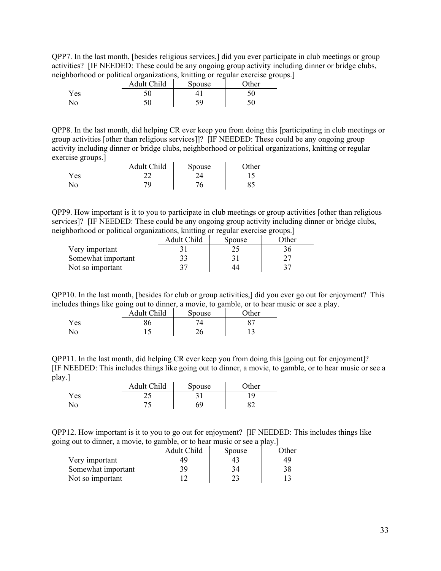QPP7. In the last month, [besides religious services,] did you ever participate in club meetings or group activities? [IF NEEDED: These could be any ongoing group activity including dinner or bridge clubs, neighborhood or political organizations, knitting or regular exercise groups.]

|     | Adult Child | Spouse | -<br><b>Ther</b> |
|-----|-------------|--------|------------------|
| Yes |             |        | 50               |
| No  |             | ۲Ω     |                  |

QPP8. In the last month, did helping CR ever keep you from doing this [participating in club meetings or group activities [other than religious services]]? [IF NEEDED: These could be any ongoing group activity including dinner or bridge clubs, neighborhood or political organizations, knitting or regular exercise groups.]  $\mathcal{L}_{\rm{max}}$ 

|                | Adult Child | Spouse | <b>Other</b> |
|----------------|-------------|--------|--------------|
| Yes            |             |        |              |
| N <sub>o</sub> | 70          |        |              |

QPP9. How important is it to you to participate in club meetings or group activities [other than religious services]? [IF NEEDED: These could be any ongoing group activity including dinner or bridge clubs, neighborhood or political organizations, knitting or regular exercise groups.]

|                    | Adult Child | Spouse | )ther |
|--------------------|-------------|--------|-------|
| Very important     |             |        |       |
| Somewhat important |             |        |       |
| Not so important   |             |        |       |

QPP10. In the last month, [besides for club or group activities,] did you ever go out for enjoyment? This includes things like going out to dinner, a movie, to gamble, or to hear music or see a play.

| . .  | . .<br>Adult Child | <br>Spouse | $\gamma$ ther |
|------|--------------------|------------|---------------|
| Y es |                    |            |               |
| N0   | ⊥ ↩                | ጎ∠<br>∠∪   | ⊥ັ            |

QPP11. In the last month, did helping CR ever keep you from doing this [going out for enjoyment]? [IF NEEDED: This includes things like going out to dinner, a movie, to gamble, or to hear music or see a play.]

|     | Adult Child | Spouse | $\gamma$ ther |
|-----|-------------|--------|---------------|
| Yes | $\sim$      |        |               |
| No  |             | 69     |               |

QPP12. How important is it to you to go out for enjoyment? [IF NEEDED: This includes things like going out to dinner, a movie, to gamble, or to hear music or see a play.]

| _                  | Adult Child | Spouse | <b>Other</b> |
|--------------------|-------------|--------|--------------|
| Very important     |             |        | 49           |
| Somewhat important | 39          | 34     | 38           |
| Not so important   |             |        |              |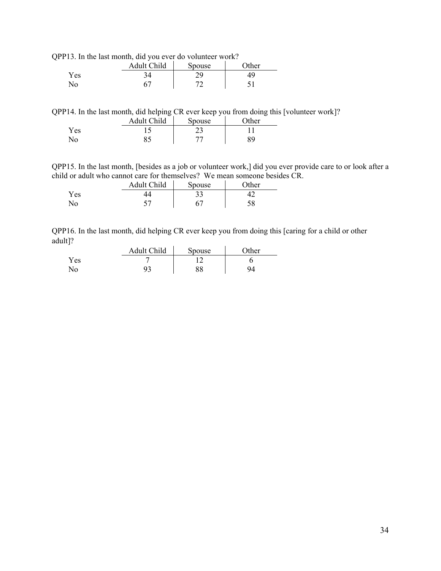QPP13. In the last month, did you ever do volunteer work?

|                | Adult Child | Spouse | $\gamma$ ther |
|----------------|-------------|--------|---------------|
| Yes            |             | n ()   |               |
| $\overline{N}$ |             | $\tau$ | ◡             |

QPP14. In the last month, did helping CR ever keep you from doing this [volunteer work]?

|      | Adult Child | Spouse | <b>Ther</b> |
|------|-------------|--------|-------------|
| Y es |             | ر_ بے  |             |
| N٥   | o.          |        | 89          |

QPP15. In the last month, [besides as a job or volunteer work,] did you ever provide care to or look after a child or adult who cannot care for themselves? We mean someone besides CR.

|     | Adult Child              | Spouse | )ther |
|-----|--------------------------|--------|-------|
| Yes |                          | ت ف    |       |
|     | $\overline{\phantom{a}}$ |        |       |

QPP16. In the last month, did helping CR ever keep you from doing this [caring for a child or other adult]?

|     | Adult Child | <b>Spouse</b> | $\Omega$ ther |
|-----|-------------|---------------|---------------|
| Yes |             |               |               |
| No  |             | Q Q<br>٥o     |               |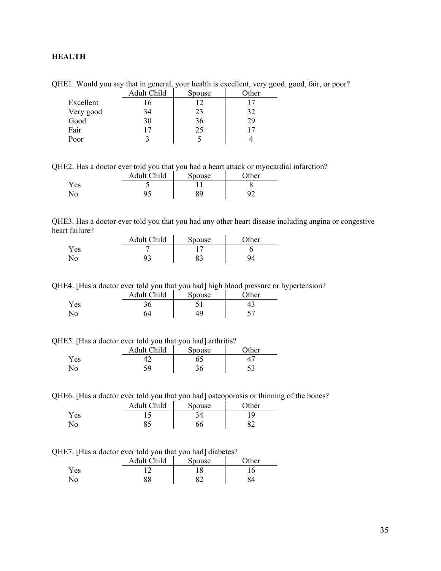## <span id="page-34-0"></span>**HEALTH**

|           | Adult Child | Spouse | <b>Other</b> |
|-----------|-------------|--------|--------------|
| Excellent | . O         |        |              |
| Very good | 34          | 23     | 32           |
| Good      | 30          | 36     | 29           |
| Fair      |             | 25     |              |
| Poor      |             |        |              |

QHE1. Would you say that in general, your health is excellent, very good, good, fair, or poor?

QHE2. Has a doctor ever told you that you had a heart attack or myocardial infarction?

|      | Adult Child | Spouse | $\gamma$ ther |
|------|-------------|--------|---------------|
| Y es | ت           |        |               |
| No   |             | 89     | ഹ∼            |

QHE3. Has a doctor ever told you that you had any other heart disease including angina or congestive heart failure?

|     | Adult Child | Spouse | $\gamma$ ther |
|-----|-------------|--------|---------------|
| Yes |             |        |               |
| No  | ر ر         | ◡◡     |               |

QHE4. [Has a doctor ever told you that you had] high blood pressure or hypertension?

|     | <b>Adult Child</b> | Spouse | )ther |
|-----|--------------------|--------|-------|
| Yes |                    |        |       |
| No  | 54                 | 10     |       |

QHE5. [Has a doctor ever told you that you had] arthritis?

|     | Adult Child | Spouse | $\gamma$ ther |
|-----|-------------|--------|---------------|
| Yes |             |        |               |
| No  | ۲a          | эυ     | ں ر           |

QHE6. [Has a doctor ever told you that you had] osteoporosis or thinning of the bones?

|     | Adult Child | Spouse | Other |
|-----|-------------|--------|-------|
| Yes |             |        | . വ   |
| No  | OJ          | 66     |       |

QHE7. [Has a doctor ever told you that you had] diabetes?

|      | Adult Child | Spouse  | <b>Other</b> |
|------|-------------|---------|--------------|
| Y es |             |         |              |
| No   | 88          | $\circ$ |              |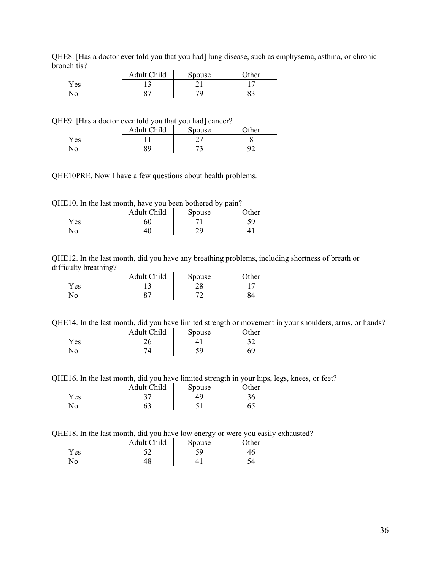|            | Adult Child | Spouse | <b>Other</b> |
|------------|-------------|--------|--------------|
| <b>Yes</b> |             |        |              |
|            | ດ∼          |        |              |

QHE8. [Has a doctor ever told you that you had] lung disease, such as emphysema, asthma, or chronic bronchitis?

QHE9. [Has a doctor ever told you that you had] cancer?

|      | Adult Child | Spouse    | $\gamma$ ther |
|------|-------------|-----------|---------------|
| Yes. |             |           |               |
|      |             | <u>لہ</u> |               |

QHE10PRE. Now I have a few questions about health problems.

QHE10. In the last month, have you been bothered by pain?

|     | Adult Child | Spouse | $\gamma$ ther |
|-----|-------------|--------|---------------|
| Yes | 60          |        | ۲a            |
| No  |             | າດ     |               |

QHE12. In the last month, did you have any breathing problems, including shortness of breath or difficulty breathing?

|     | Adult Child | Spouse    | $\gamma$ ther |
|-----|-------------|-----------|---------------|
| Yes |             | ט ר<br>∠∪ |               |
| No  | $\circ$     | ⇁         |               |

QHE14. In the last month, did you have limited strength or movement in your shoulders, arms, or hands?

|     | Adult Child | <b>Spouse</b> | <b>Other</b> |
|-----|-------------|---------------|--------------|
| Yes |             |               | າາ           |
| No  |             | 5۵            |              |

QHE16. In the last month, did you have limited strength in your hips, legs, knees, or feet?

|      | Adult Child | Spouse | $\gamma$ ther |
|------|-------------|--------|---------------|
| Y es |             | 49     |               |
| ٩O   | 63          |        |               |

QHE18. In the last month, did you have low energy or were you easily exhausted?

|            | Adult Child | --<br>Spouse | $\lambda$ ther |
|------------|-------------|--------------|----------------|
| <b>Yes</b> |             | 5۵           | tО             |
| No.        | ŀ٥          |              |                |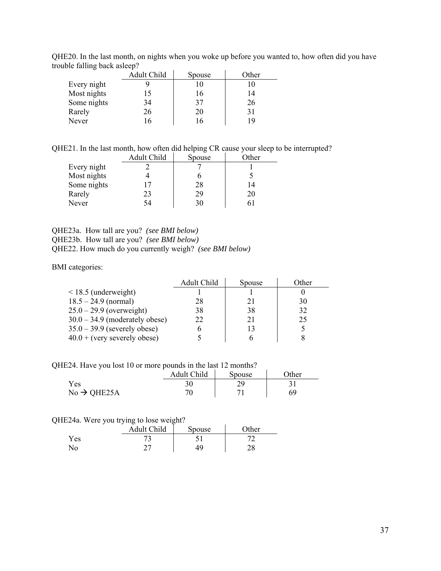|             | Adult Child | Spouse | Other |
|-------------|-------------|--------|-------|
| Every night |             |        |       |
| Most nights | 15          | 16     | 14    |
| Some nights | 34          | 37     | 26    |
| Rarely      | 26          | 20     | 31    |
| Never       | 16          |        |       |

QHE20. In the last month, on nights when you woke up before you wanted to, how often did you have trouble falling back asleep?

QHE21. In the last month, how often did helping CR cause your sleep to be interrupted?

| Adult Child | Spouse | Other |
|-------------|--------|-------|
|             |        |       |
|             |        |       |
| 17          | 28     | 14    |
| 23          | 29     | 20    |
| 54          | 30     |       |
|             |        |       |

QHE23a. How tall are you? *(see BMI below)* QHE23b. How tall are you? *(see BMI below)* QHE22. How much do you currently weigh? *(see BMI below)* 

BMI categories:

|                                  | Adult Child | Spouse | Other |
|----------------------------------|-------------|--------|-------|
| $<$ 18.5 (underweight)           |             |        |       |
| $18.5 - 24.9$ (normal)           | 28          | 21     | 30    |
| $25.0 - 29.9$ (overweight)       | 38          | 38     | 32    |
| $30.0 - 34.9$ (moderately obese) | 22          | 21     | 25    |
| $35.0 - 39.9$ (severely obese)   |             | 13     |       |
| $40.0 + (very severely obese)$   |             |        |       |

QHE24. Have you lost 10 or more pounds in the last 12 months?

|                         | Adult Child | Spouse | $\gamma$ ther |
|-------------------------|-------------|--------|---------------|
| Yes                     |             |        |               |
| $No \rightarrow QHE25A$ | 70          |        | 69            |

## QHE24a. Were you trying to lose weight?

|     | <br>Adult Child      | Spouse | <b>Other</b> |
|-----|----------------------|--------|--------------|
| Yes | <u>ب</u>             |        |              |
|     | $\rightarrow$<br>، ، |        | ۷٥           |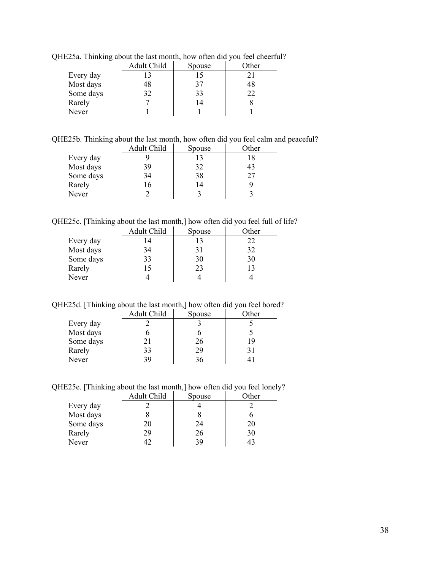|           | Adult Child | Spouse | Other |
|-----------|-------------|--------|-------|
| Every day |             |        |       |
| Most days | 48          | 37     | 48    |
| Some days | 32          | 33     | 22    |
| Rarely    |             | 14     |       |
| Never     |             |        |       |

QHE25a. Thinking about the last month, how often did you feel cheerful?

QHE25b. Thinking about the last month, how often did you feel calm and peaceful?

|           | Adult Child | Spouse | Other |
|-----------|-------------|--------|-------|
| Every day |             | 13     | 18    |
| Most days | 39          | 32     | 43    |
| Some days | 34          | 38     | 27    |
| Rarely    | 16          | 14     |       |
| Never     |             |        |       |

QHE25c. [Thinking about the last month,] how often did you feel full of life?

|           | Adult Child | Spouse | Other |
|-----------|-------------|--------|-------|
| Every day | 14          | 13     | 22    |
| Most days | 34          | 31     | 32    |
| Some days | 33          | 30     | 30    |
| Rarely    | 15          | 23     |       |
| Never     |             |        |       |

QHE25d. [Thinking about the last month,] how often did you feel bored?

|           | Adult Child | Spouse | Other |
|-----------|-------------|--------|-------|
| Every day |             |        |       |
| Most days |             |        |       |
| Some days |             | 26     |       |
| Rarely    | 33          | 29     |       |
| Never     |             |        |       |

QHE25e. [Thinking about the last month,] how often did you feel lonely?

|           | Adult Child | Spouse | Other |
|-----------|-------------|--------|-------|
| Every day |             |        |       |
| Most days |             |        |       |
| Some days | 20          | 24     | 20    |
| Rarely    | 29          | 26     | 30    |
| Never     |             | 39     |       |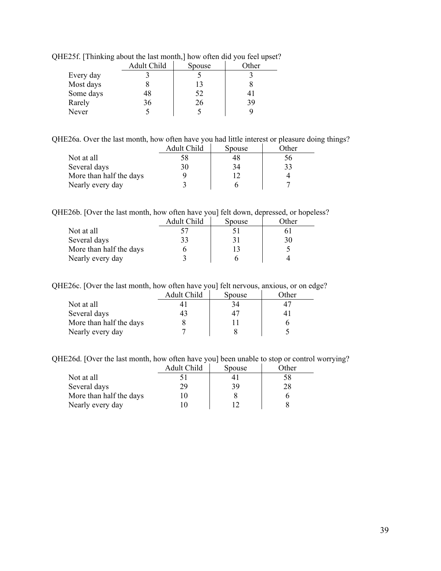|           | Adult Child | Spouse | <br>Other |
|-----------|-------------|--------|-----------|
| Every day |             |        |           |
| Most days |             |        |           |
| Some days | 48          | 52     |           |
| Rarely    | 36          | 26     | 39        |
| Never     |             |        |           |

QHE25f. [Thinking about the last month,] how often did you feel upset?

QHE26a. Over the last month, how often have you had little interest or pleasure doing things?

|                         | Adult Child | Spouse | Other |
|-------------------------|-------------|--------|-------|
| Not at all              | 58          | 48     | 56    |
| Several days            | 30          | 34     | 33    |
| More than half the days |             |        |       |
| Nearly every day        |             |        |       |

QHE26b. [Over the last month, how often have you] felt down, depressed, or hopeless?

|                         | Adult Child | Spouse | )ther |
|-------------------------|-------------|--------|-------|
| Not at all              |             |        |       |
| Several days            | 33          |        | 30    |
| More than half the days |             |        |       |
| Nearly every day        |             |        |       |

QHE26c. [Over the last month, how often have you] felt nervous, anxious, or on edge?

|                         | Adult Child | Spouse | Other |
|-------------------------|-------------|--------|-------|
| Not at all              |             |        |       |
| Several days            | 43          |        |       |
| More than half the days |             |        |       |
| Nearly every day        |             |        |       |

QHE26d. [Over the last month, how often have you] been unable to stop or control worrying?

|                         | Adult Child | Spouse | Other |
|-------------------------|-------------|--------|-------|
| Not at all              |             |        | 58    |
| Several days            | 79          | 39     | 28    |
| More than half the days |             |        |       |
| Nearly every day        |             |        |       |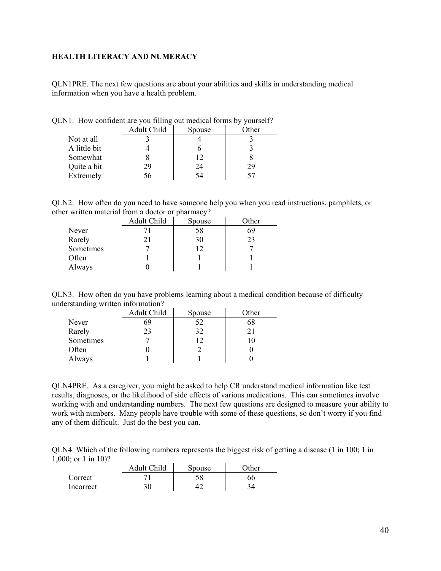### <span id="page-39-0"></span>**HEALTH LITERACY AND NUMERACY**

QLN1PRE. The next few questions are about your abilities and skills in understanding medical information when you have a health problem.

|              | ຼ           |        |       |
|--------------|-------------|--------|-------|
|              | Adult Child | Spouse | Other |
| Not at all   |             |        |       |
| A little bit |             |        |       |
| Somewhat     |             | 12     |       |
| Quite a bit  | 29          | 24     | 29    |
| Extremely    | ١n          | 54     |       |

QLN1. How confident are you filling out medical forms by yourself?

QLN2. How often do you need to have someone help you when you read instructions, pamphlets, or other written material from a doctor or pharmacy?

|           | Adult Child | $\overline{\phantom{a}}$<br>Spouse | Other |
|-----------|-------------|------------------------------------|-------|
| Never     |             | 58                                 | 69    |
| Rarely    |             | 30                                 | 23    |
| Sometimes |             | 12                                 |       |
| Often     |             |                                    |       |
| Always    |             |                                    |       |

QLN3. How often do you have problems learning about a medical condition because of difficulty understanding written information?

|           | Adult Child | Spouse | Other |
|-----------|-------------|--------|-------|
| Never     | 69          |        | 68    |
| Rarely    | 23          | 32     |       |
| Sometimes |             |        |       |
| Often     |             |        |       |
| Always    |             |        |       |

QLN4PRE. As a caregiver, you might be asked to help CR understand medical information like test results, diagnoses, or the likelihood of side effects of various medications. This can sometimes involve working with and understanding numbers. The next few questions are designed to measure your ability to work with numbers. Many people have trouble with some of these questions, so don't worry if you find any of them difficult. Just do the best you can.

QLN4. Which of the following numbers represents the biggest risk of getting a disease (1 in 100; 1 in 1,000; or 1 in 10)?

|                  | Adult Child | Spouse | <b>Other</b> |
|------------------|-------------|--------|--------------|
| Correct          |             |        | 66           |
| <b>Incorrect</b> | 30          |        |              |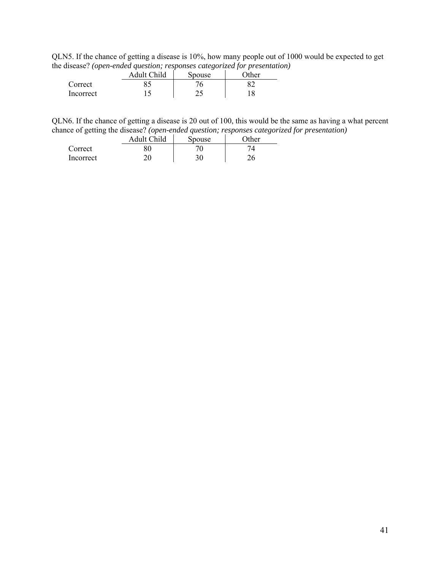QLN5. If the chance of getting a disease is 10%, how many people out of 1000 would be expected to get the disease? *(open-ended question; responses categorized for presentation)*

|           | Adult Child | $\cdot$<br>Spouse | $\cdot$<br>$\gamma$ ther |
|-----------|-------------|-------------------|--------------------------|
| Correct   |             |                   |                          |
| Incorrect |             | ∠~                |                          |

QLN6. If the chance of getting a disease is 20 out of 100, this would be the same as having a what percent chance of getting the disease? *(open-ended question; responses categorized for presentation)*

|           | Adult Child | Spouse | $\gamma$ ther |
|-----------|-------------|--------|---------------|
| Correct   |             |        |               |
| Incorrect |             | 30     |               |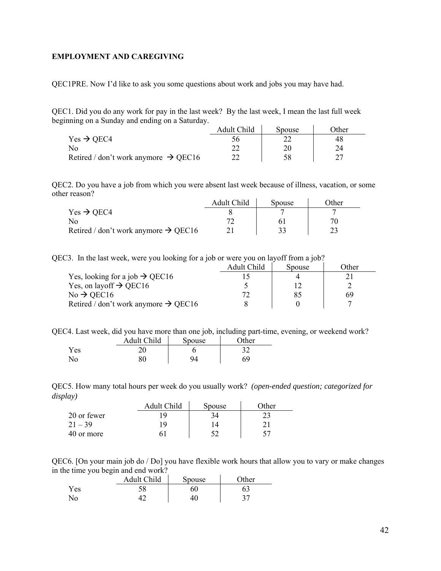## <span id="page-41-0"></span>**EMPLOYMENT AND CAREGIVING**

QEC1PRE. Now I'd like to ask you some questions about work and jobs you may have had.

QEC1. Did you do any work for pay in the last week? By the last week, I mean the last full week beginning on a Sunday and ending on a Saturday.

|                                                  | Adult Child | Spouse | )ther |
|--------------------------------------------------|-------------|--------|-------|
| $Yes \rightarrow OEC4$                           |             |        |       |
| N <sub>o</sub>                                   |             |        |       |
| Retired / don't work anymore $\rightarrow$ QEC16 |             |        |       |

QEC2. Do you have a job from which you were absent last week because of illness, vacation, or some other reason?  $\mathcal{L}$ 

|                                                  | Adult Child | Spouse | )ther |
|--------------------------------------------------|-------------|--------|-------|
| $Yes \rightarrow OEC4$                           |             |        |       |
| N٥                                               |             |        |       |
| Retired / don't work anymore $\rightarrow$ QEC16 |             |        |       |

QEC3. In the last week, were you looking for a job or were you on layoff from a job?

|                                                  | Adult Child | Spouse | Other |
|--------------------------------------------------|-------------|--------|-------|
| Yes, looking for a job $\rightarrow$ QEC16       |             |        |       |
| Yes, on layoff $\rightarrow$ QEC16               |             |        |       |
| $No \rightarrow$ QEC16                           |             | 85     | 69    |
| Retired / don't work anymore $\rightarrow$ QEC16 |             |        |       |

QEC4. Last week, did you have more than one job, including part-time, evening, or weekend work?

|     | Adult Child | <b>Spouse</b> | Other |
|-----|-------------|---------------|-------|
| Yes | ∩ר          |               |       |
| No  | 80          | QΔ            | 69    |

QEC5. How many total hours per week do you usually work? *(open-ended question; categorized for display)*   $\sim$ 

|             | Adult Child | Spouse | ∩ther |
|-------------|-------------|--------|-------|
| 20 or fewer | -Q          |        |       |
| $21 - 39$   | -Q          |        |       |
| 40 or more  |             |        | 57    |

QEC6. [On your main job do / Do] you have flexible work hours that allow you to vary or make changes in the time you begin and end work?

| -   | Adult Child | Spouse | $\gamma$ ther |
|-----|-------------|--------|---------------|
| Yes | IJΟ         |        |               |
| No  |             |        |               |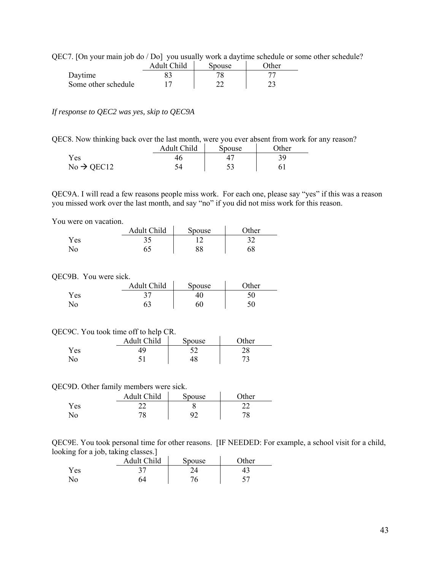QEC7. [On your main job do / Do] you usually work a daytime schedule or some other schedule?

|                     | Adult Child | Spouse | <b>Other</b> |
|---------------------|-------------|--------|--------------|
| Daytime             |             |        |              |
| Some other schedule |             |        |              |

*If response to QEC2 was yes, skip to QEC9A* 

| QEC8. Now thinking back over the last month, were you ever absent from work for any reason? |                                              |  |  |
|---------------------------------------------------------------------------------------------|----------------------------------------------|--|--|
|                                                                                             | $\cdots$ $\cdots$ $\cdots$ $\cdots$ $\cdots$ |  |  |

|                        | Adult Child | Spouse | <b>Other</b> |
|------------------------|-------------|--------|--------------|
| Y es                   |             |        |              |
| $No \rightarrow$ QEC12 |             | ر ر    |              |

QEC9A. I will read a few reasons people miss work. For each one, please say "yes" if this was a reason you missed work over the last month, and say "no" if you did not miss work for this reason.

You were on vacation.

|                | Adult Child | Spouse | $\gamma$ ther |
|----------------|-------------|--------|---------------|
| Yes            |             |        | າາ            |
| N <sub>0</sub> |             | 88     | 68            |

#### QEC9B. You were sick.

|      | Adult Child | Spouse | $\lambda$ other |
|------|-------------|--------|-----------------|
| Y es |             |        |                 |
| No   |             | 6(     |                 |

#### QEC9C. You took time off to help CR.

|     | Adult Child | Spouse | $\gamma$ ther |
|-----|-------------|--------|---------------|
| Yes |             |        | ס ר<br>20     |
| No  |             |        |               |

#### QEC9D. Other family members were sick.

|                | Adult Child | Spouse | $\gamma$ ther |
|----------------|-------------|--------|---------------|
| Yes            |             |        |               |
| N <sub>o</sub> | 70          | o٦     | 70            |

QEC9E. You took personal time for other reasons. [IF NEEDED: For example, a school visit for a child, looking for a job, taking classes.]

| . . | . .<br><b>Adult Child</b> | Spouse | $\gamma$ ther |
|-----|---------------------------|--------|---------------|
| Yes |                           |        |               |
| N٥  | 54                        | 76     |               |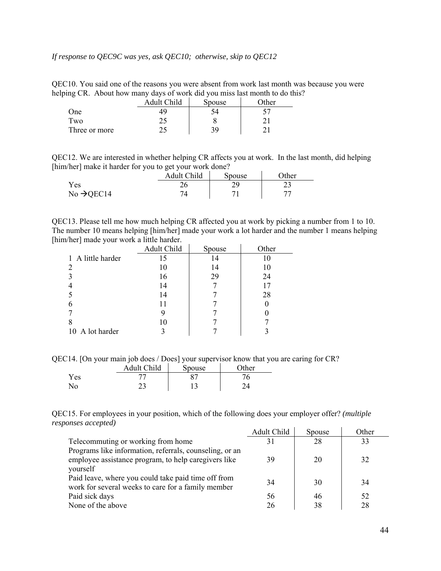### *If response to QEC9C was yes, ask QEC10; otherwise, skip to QEC12*

QEC10. You said one of the reasons you were absent from work last month was because you were helping CR. About how many days of work did you miss last month to do this?

|               | Adult Child | Spouse | Other |
|---------------|-------------|--------|-------|
| One           |             |        |       |
| Two           |             |        |       |
| Three or more |             | 39     |       |

QEC12. We are interested in whether helping CR affects you at work. In the last month, did helping [him/her] make it harder for you to get your work done?

|                        | Adult Child | Spouse | $\Omega$ ther |
|------------------------|-------------|--------|---------------|
| Yes                    |             | າດ     | ر ے           |
| $No \rightarrow QEC14$ |             |        |               |

QEC13. Please tell me how much helping CR affected you at work by picking a number from 1 to 10. The number 10 means helping [him/her] made your work a lot harder and the number 1 means helping [him/her] made your work a little harder. k.

|                   | Adult Child | Spouse | Other |
|-------------------|-------------|--------|-------|
| 1 A little harder | 15          |        | 10    |
|                   | 10          | 14     | 10    |
|                   | 16          | 29     | 24    |
|                   | 14          |        | 17    |
|                   | 14          |        | 28    |
| 6                 | 11          |        |       |
|                   | 9           |        |       |
| 8                 | 10          |        |       |
| 10 A lot harder   |             |        |       |

QEC14. [On your main job does / Does] your supervisor know that you are caring for CR?

|      | Adult Child | Spouse | $\gamma$ ther |
|------|-------------|--------|---------------|
| Y es |             |        |               |
| No   |             |        |               |

QEC15. For employees in your position, which of the following does your employer offer? *(multiple responses accepted)*

|                                                         | Adult Child | Spouse | Other |
|---------------------------------------------------------|-------------|--------|-------|
| Telecommuting or working from home                      |             | 28     | 33    |
| Programs like information, referrals, counseling, or an |             |        |       |
| employee assistance program, to help caregivers like    | 39          | 20     | 32    |
| yourself                                                |             |        |       |
| Paid leave, where you could take paid time off from     | 34          | 30     | 34    |
| work for several weeks to care for a family member      |             |        |       |
| Paid sick days                                          | 56          | 46     | 52    |
| None of the above                                       | 26          | 38     | 28    |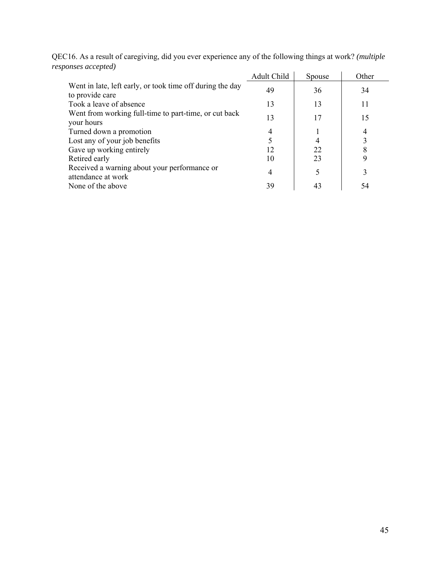| QEC16. As a result of caregiving, did you ever experience any of the following things at work? (multiple |                                      |  |
|----------------------------------------------------------------------------------------------------------|--------------------------------------|--|
| responses accepted)                                                                                      |                                      |  |
|                                                                                                          | $\lambda$ 1.1 $\alpha$ 1.11 $\alpha$ |  |

|                                                                              | Adult Child | Spouse | Other |
|------------------------------------------------------------------------------|-------------|--------|-------|
| Went in late, left early, or took time off during the day<br>to provide care | 49          | 36     | 34    |
| Took a leave of absence                                                      | 13          | 13     | 11    |
| Went from working full-time to part-time, or cut back<br>your hours          | 13          | 17     | 15    |
| Turned down a promotion                                                      |             |        |       |
| Lost any of your job benefits                                                |             | 4      |       |
| Gave up working entirely                                                     | 12          | 22     | 8     |
| Retired early                                                                | 10          | 23     |       |
| Received a warning about your performance or<br>attendance at work           | 4           | 5      |       |
| None of the above                                                            | 39          | 43     | 54    |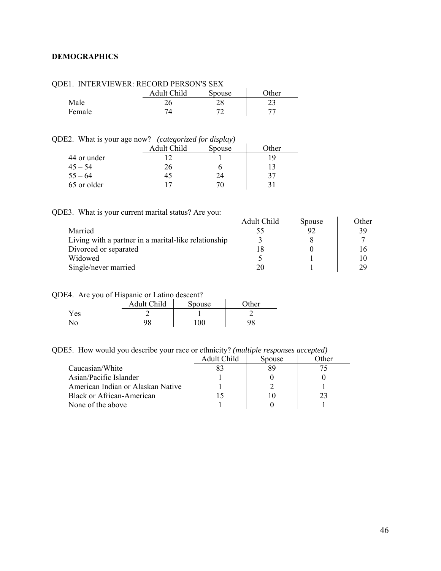## <span id="page-45-0"></span>**DEMOGRAPHICS**

| DEL TIVITEN VIEWEN. NECOND FENSOIVS SEA |             |        |       |  |  |
|-----------------------------------------|-------------|--------|-------|--|--|
|                                         | Adult Child | Spouse | Other |  |  |
| Male                                    |             |        |       |  |  |
| Female                                  |             |        |       |  |  |

# QDE1. INTERVIEWER: RECORD PERSON'S SEX

# QDE2. What is your age now? *(categorized for display)*

| -<br>$\tilde{\phantom{a}}$ | . .<br>Adult Child | $\cdot$<br>.<br>Spouse | Other |
|----------------------------|--------------------|------------------------|-------|
| 44 or under                |                    |                        | 1 Q   |
| $45 - 54$                  | 26                 |                        |       |
| $55 - 64$                  |                    | 24                     | 37    |
| 65 or older                |                    |                        |       |

# QDE3. What is your current marital status? Are you:

|                                                      | Adult Child | Spouse | Other |
|------------------------------------------------------|-------------|--------|-------|
| Married                                              |             | 92     | 39    |
| Living with a partner in a marital-like relationship |             |        |       |
| Divorced or separated                                |             |        |       |
| Widowed                                              |             |        |       |
| Single/never married                                 | 20          |        | 29    |

#### QDE4. Are you of Hispanic or Latino descent?

|            | Adult Child | Spouse | $\gamma$ ther |
|------------|-------------|--------|---------------|
| <b>Yes</b> |             |        |               |
| No         | 98          | 100    |               |

# QDE5. How would you describe your race or ethnicity? *(multiple responses accepted)*

|                                   | Adult Child | Spouse | )ther |
|-----------------------------------|-------------|--------|-------|
| Caucasian/White                   |             |        |       |
| Asian/Pacific Islander            |             |        |       |
| American Indian or Alaskan Native |             |        |       |
| <b>Black or African-American</b>  |             |        | 23    |
| None of the above                 |             |        |       |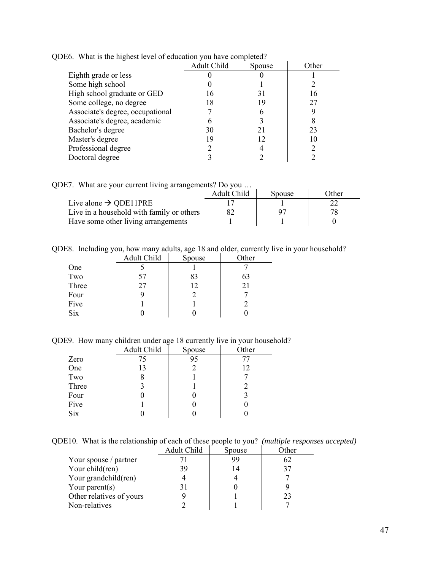| "They is the infinest to " of course. |                    |        |       |  |  |  |
|---------------------------------------|--------------------|--------|-------|--|--|--|
|                                       | <b>Adult Child</b> | Spouse | Other |  |  |  |
| Eighth grade or less                  |                    |        |       |  |  |  |
| Some high school                      |                    |        |       |  |  |  |
| High school graduate or GED           | 16                 | 31     |       |  |  |  |
| Some college, no degree               | 18                 | 19     | 27    |  |  |  |
| Associate's degree, occupational      |                    |        |       |  |  |  |
| Associate's degree, academic          |                    |        | 8     |  |  |  |
| Bachelor's degree                     | 30                 | 21     | 23    |  |  |  |
| Master's degree                       | 19                 | 12     | 10    |  |  |  |
| Professional degree                   |                    |        |       |  |  |  |
| Doctoral degree                       |                    |        |       |  |  |  |

QDE6. What is the highest level of education you have completed?

QDE7. What are your current living arrangements? Do you …

|                                           | Adult Child | Spouse | Other |
|-------------------------------------------|-------------|--------|-------|
| Live alone $\rightarrow$ QDE11PRE         |             |        |       |
| Live in a household with family or others |             |        |       |
| Have some other living arrangements       |             |        |       |

QDE8. Including you, how many adults, age 18 and older, currently live in your household?

|            | Adult Child | Spouse | Other |
|------------|-------------|--------|-------|
| One        |             |        |       |
| Two        | 57          | 83     | 63    |
| Three      | 27          | 12     | 21    |
| Four       |             |        |       |
| Five       |             |        |       |
| <b>Six</b> |             |        |       |

QDE9. How many children under age 18 currently live in your household?

|            | Adult Child | Spouse | Other |
|------------|-------------|--------|-------|
| Zero       | 75          | 95     |       |
| One        | 13          |        | 12    |
| Two        |             |        |       |
| Three      |             |        |       |
| Four       |             |        |       |
| Five       |             |        |       |
| <b>Six</b> |             |        |       |

QDE10. What is the relationship of each of these people to you? *(multiple responses accepted)* 

|                          | Adult Child | Spouse | Other |
|--------------------------|-------------|--------|-------|
| Your spouse / partner    |             | 99     | 62    |
| Your child(ren)          | 39          | 14     | 37    |
| Your grandchild(ren)     |             |        |       |
| Your parent $(s)$        |             |        |       |
| Other relatives of yours |             |        | 23    |
| Non-relatives            |             |        |       |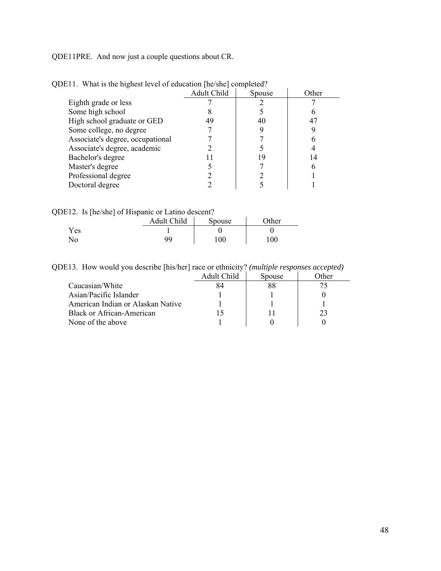QDE11PRE. And now just a couple questions about CR.

|                                  | <b>Adult Child</b> | Spouse | Other |
|----------------------------------|--------------------|--------|-------|
| Eighth grade or less             |                    |        |       |
| Some high school                 |                    |        |       |
| High school graduate or GED      | 49                 | 40     |       |
| Some college, no degree          |                    |        |       |
| Associate's degree, occupational |                    |        |       |
| Associate's degree, academic     |                    |        |       |
| Bachelor's degree                |                    | Q      | 14    |
| Master's degree                  |                    |        |       |
| Professional degree              |                    |        |       |
| Doctoral degree                  |                    |        |       |

QDE11. What is the highest level of education [he/she] completed?

| QDE12. Is [he/she] of Hispanic or Latino descent? |    |     |      |  |
|---------------------------------------------------|----|-----|------|--|
| Adult Child<br>Other<br>Spouse                    |    |     |      |  |
| Yes                                               |    |     |      |  |
| Nο                                                | qq | 100 | 100. |  |

QDE13. How would you describe [his/her] race or ethnicity? *(multiple responses accepted)*

|                                   | Adult Child | Spouse | )ther |
|-----------------------------------|-------------|--------|-------|
| Caucasian/White                   |             |        |       |
| Asian/Pacific Islander            |             |        |       |
| American Indian or Alaskan Native |             |        |       |
| <b>Black or African-American</b>  |             |        |       |
| None of the above                 |             |        |       |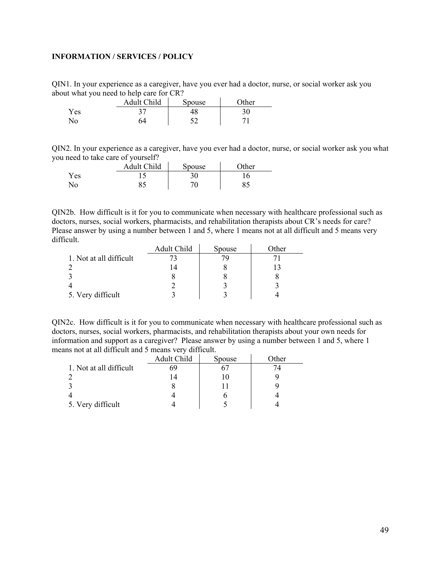## <span id="page-48-0"></span>**INFORMATION / SERVICES / POLICY**

QIN1. In your experience as a caregiver, have you ever had a doctor, nurse, or social worker ask you about what you need to help care for CR?

|          | Adult Child | Spouse | <b>Other</b> |
|----------|-------------|--------|--------------|
| $v_{es}$ |             | 18     |              |
| No.      |             | cη     |              |

QIN2. In your experience as a caregiver, have you ever had a doctor, nurse, or social worker ask you what you need to take care of yourself?

|            | Adult Child | Spouse | $\gamma$ ther |
|------------|-------------|--------|---------------|
| <b>Yes</b> |             | 30     |               |
| No.        |             | 70     |               |

QIN2b. How difficult is it for you to communicate when necessary with healthcare professional such as doctors, nurses, social workers, pharmacists, and rehabilitation therapists about CR's needs for care? Please answer by using a number between 1 and 5, where 1 means not at all difficult and 5 means very difficult.  $\mathcal{L}$ 

|                         | Adult Child | Spouse | Other |
|-------------------------|-------------|--------|-------|
| 1. Not at all difficult |             |        |       |
|                         |             |        |       |
|                         |             |        |       |
|                         |             |        |       |
| 5. Very difficult       |             |        |       |

QIN2c. How difficult is it for you to communicate when necessary with healthcare professional such as doctors, nurses, social workers, pharmacists, and rehabilitation therapists about your own needs for information and support as a caregiver? Please answer by using a number between 1 and 5, where 1 means not at all difficult and 5 means very difficult.

|                         | Adult Child | Spouse | Other |
|-------------------------|-------------|--------|-------|
| 1. Not at all difficult | 69          |        |       |
|                         |             |        |       |
|                         |             |        |       |
|                         |             |        |       |
| 5. Very difficult       |             |        |       |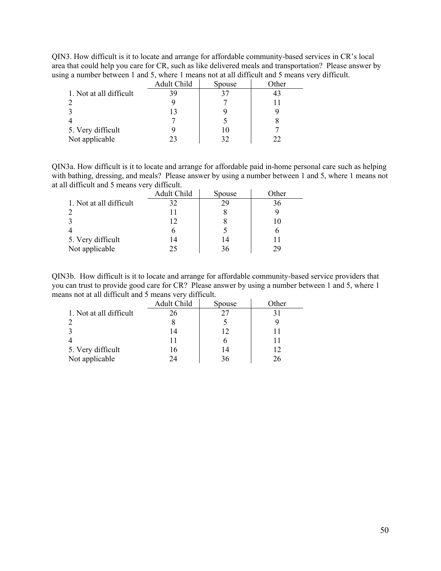QIN3. How difficult is it to locate and arrange for affordable community-based services in CR's local area that could help you care for CR, such as like delivered meals and transportation? Please answer by using a number between 1 and 5, where 1 means not at all difficult and 5 means very difficult.

|                         | Adult Child | Spouse | Other |
|-------------------------|-------------|--------|-------|
| 1. Not at all difficult | 39          |        |       |
|                         |             |        |       |
|                         | 13          |        |       |
|                         |             |        |       |
| 5. Very difficult       |             | 10     |       |
| Not applicable          | 23          |        | 22    |

QIN3a. How difficult is it to locate and arrange for affordable paid in-home personal care such as helping with bathing, dressing, and meals? Please answer by using a number between 1 and 5, where 1 means not at all difficult and 5 means very difficult.

|                         | Adult Child | Spouse | Other |
|-------------------------|-------------|--------|-------|
| 1. Not at all difficult | 32          | 29     | 36    |
|                         |             |        |       |
|                         | 12          |        | 10    |
|                         |             |        |       |
| 5. Very difficult       | 14          | 14     |       |
| Not applicable          | 25          |        |       |

QIN3b. How difficult is it to locate and arrange for affordable community-based service providers that you can trust to provide good care for CR? Please answer by using a number between 1 and 5, where 1 means not at all difficult and 5 means very difficult.

|                         | Adult Child | Spouse | Other |
|-------------------------|-------------|--------|-------|
| 1. Not at all difficult | 26          |        |       |
|                         |             |        |       |
|                         |             | 12     |       |
|                         |             |        |       |
| 5. Very difficult       | 16          | 14     | 12    |
| Not applicable          | ΙД          | 36     | 26    |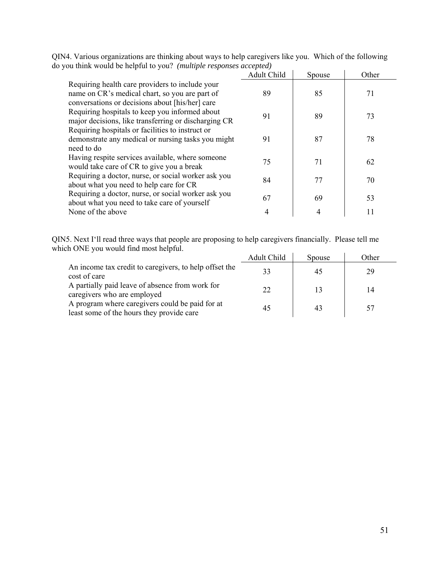| you uniin would be helpful to you: <i>(muttiple responses uccepteu)</i>                                                                              |             |        |       |
|------------------------------------------------------------------------------------------------------------------------------------------------------|-------------|--------|-------|
|                                                                                                                                                      | Adult Child | Spouse | Other |
| Requiring health care providers to include your<br>name on CR's medical chart, so you are part of<br>conversations or decisions about [his/her] care | 89          | 85     | 71    |
| Requiring hospitals to keep you informed about<br>major decisions, like transferring or discharging CR                                               | 91          | 89     | 73    |
| Requiring hospitals or facilities to instruct or<br>demonstrate any medical or nursing tasks you might<br>need to do                                 | 91          | 87     | 78    |
| Having respite services available, where someone<br>would take care of CR to give you a break                                                        | 75          | 71     | 62    |
| Requiring a doctor, nurse, or social worker ask you<br>about what you need to help care for CR                                                       | 84          | 77     | 70    |
| Requiring a doctor, nurse, or social worker ask you<br>about what you need to take care of yourself                                                  | 67          | 69     | 53    |
| None of the above                                                                                                                                    |             |        | 11    |

QIN4. Various organizations are thinking about ways to help caregivers like you. Which of the following do you think would be helpful to you? *(multiple responses accepted)* 

QIN5. Next I'll read three ways that people are proposing to help caregivers financially. Please tell me which ONE you would find most helpful.  $\ddot{\phantom{a}}$ l.

|                                                                                              | Adult Child | Spouse | Other |
|----------------------------------------------------------------------------------------------|-------------|--------|-------|
| An income tax credit to caregivers, to help offset the<br>cost of care                       | 33          | 45     | 29    |
| A partially paid leave of absence from work for<br>caregivers who are employed               | 22          | 13     | 14    |
| A program where caregivers could be paid for at<br>least some of the hours they provide care | 45          |        |       |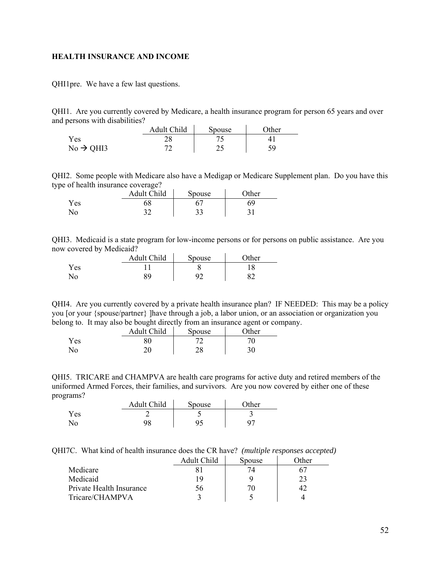#### <span id="page-51-0"></span>**HEALTH INSURANCE AND INCOME**

QHI1pre. We have a few last questions.

QHI1. Are you currently covered by Medicare, a health insurance program for person 65 years and over and persons with disabilities?

|                       | Adult Child | Spouse | <b>Other</b> |
|-----------------------|-------------|--------|--------------|
| Yes                   |             |        |              |
| $No \rightarrow QHI3$ |             | ر گ    | 59           |

QHI2. Some people with Medicare also have a Medigap or Medicare Supplement plan. Do you have this type of health insurance coverage?

|     | Adult Child | Spouse | <b>Ther</b> |
|-----|-------------|--------|-------------|
| Yes | 10          |        |             |
| Ńо  | າາ          | ر_ ر_  | ◡           |

QHI3. Medicaid is a state program for low-income persons or for persons on public assistance. Are you now covered by Medicaid?  $\mathcal{L}_{\text{max}}$  and  $\mathcal{L}_{\text{max}}$ **Contract** 

|            | Adult Child | Spouse | )ther |
|------------|-------------|--------|-------|
| <b>Yes</b> |             |        |       |
| No         | QΟ          | ۵r     |       |

QHI4. Are you currently covered by a private health insurance plan? IF NEEDED: This may be a policy you [or your {spouse/partner} ]have through a job, a labor union, or an association or organization you belong to. It may also be bought directly from an insurance agent or company.

|     | Adult Child | <b>Spouse</b> | Other |
|-----|-------------|---------------|-------|
| Yes |             |               | י זר  |
| No. |             | າດ<br>20      | 30    |

QHI5. TRICARE and CHAMPVA are health care programs for active duty and retired members of the uniformed Armed Forces, their families, and survivors. Are you now covered by either one of these programs?

|     | Adult Child | Spouse | $\gamma$ ther |
|-----|-------------|--------|---------------|
| Yes |             |        | ້             |
| No  | 98          | ۵۹     |               |

QHI7C. What kind of health insurance does the CR have? *(multiple responses accepted)*

|                          | Adult Child | Spouse | .)ther |
|--------------------------|-------------|--------|--------|
| Medicare                 |             | 74     |        |
| Medicaid                 | 1 Q         |        | 23     |
| Private Health Insurance | . oc        |        |        |
| Tricare/CHAMPVA          |             |        |        |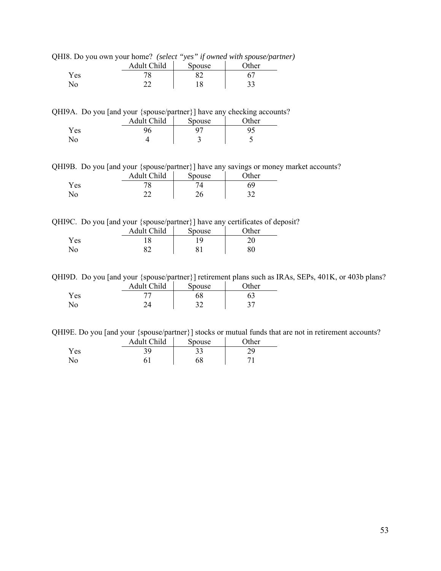|  |  |  | QHI8. Do you own your home? (select "yes" if owned with spouse/partner) |  |
|--|--|--|-------------------------------------------------------------------------|--|
|  |  |  |                                                                         |  |

|     | Adult Child | Spouse | $\gamma$ ther |
|-----|-------------|--------|---------------|
| Yes | 70          |        |               |
| No  | ົ<br>--     | 10     | ر ر           |

QHI9A. Do you [and your {spouse/partner}] have any checking accounts?

|     | Adult Child | Spouse | $\gamma$ ther |
|-----|-------------|--------|---------------|
| Yes |             |        |               |
| N٥  |             | ت      | ت             |

QHI9B. Do you [and your {spouse/partner}] have any savings or money market accounts?

|          | Adult Child | Spouse | $\gamma$ ther |
|----------|-------------|--------|---------------|
| $v_{es}$ |             |        | 69            |
| No       | יי          | ገረ     |               |

QHI9C. Do you [and your {spouse/partner}] have any certificates of deposit?

|                | Adult Child | Spouse | $\gamma$ ther |
|----------------|-------------|--------|---------------|
| Yes            |             |        |               |
| N <sub>o</sub> |             |        |               |

QHI9D. Do you [and your {spouse/partner}] retirement plans such as IRAs, SEPs, 401K, or 403b plans?

|      | Adult Child | Spouse | $\gamma$ ther |
|------|-------------|--------|---------------|
| Y es |             |        |               |
|      |             | ◡      | ◡             |

QHI9E. Do you [and your {spouse/partner}] stocks or mutual funds that are not in retirement accounts?

|     | Adult Child | Spouse | $\gamma$ ther |
|-----|-------------|--------|---------------|
| Yes |             | JJ     |               |
| No  |             | 68     |               |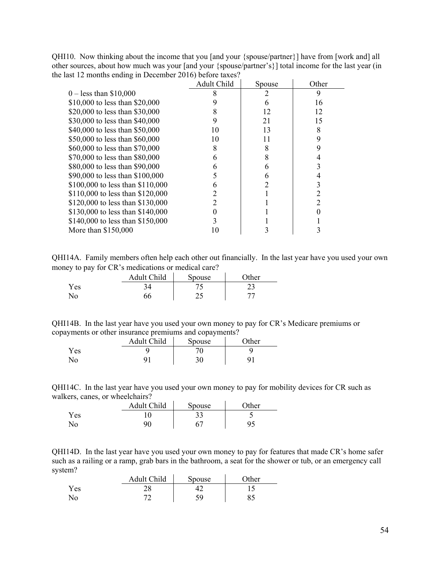QHI10. Now thinking about the income that you [and your {spouse/partner}] have from [work and] all other sources, about how much was your [and your {spouse/partner's}] total income for the last year (in the last 12 months ending in December 2016) before taxes?

|                                  | Adult Child | Spouse | Other |
|----------------------------------|-------------|--------|-------|
| $0 -$ less than \$10,000         |             |        | 9     |
| \$10,000 to less than \$20,000   |             |        | 16    |
| \$20,000 to less than \$30,000   |             | 12     | 12    |
| \$30,000 to less than \$40,000   |             | 21     | 15    |
| \$40,000 to less than \$50,000   | 10          | 13     | 8     |
| \$50,000 to less than \$60,000   | 10          | 11     | 9     |
| \$60,000 to less than \$70,000   | 8           |        |       |
| \$70,000 to less than \$80,000   | 6           | 8      |       |
| \$80,000 to less than \$90,000   |             |        |       |
| \$90,000 to less than \$100,000  |             |        |       |
| \$100,000 to less than \$110,000 | 6           |        |       |
| \$110,000 to less than \$120,000 |             |        |       |
| \$120,000 to less than \$130,000 |             |        |       |
| \$130,000 to less than \$140,000 |             |        |       |
| \$140,000 to less than \$150,000 |             |        |       |
| More than $$150,000$             |             |        |       |

QHI14A. Family members often help each other out financially. In the last year have you used your own money to pay for CR's medications or medical care?

| .   | Adult Child | Spouse | $\gamma$ ther |
|-----|-------------|--------|---------------|
| Yes |             |        | ر_ ب          |
|     |             | ر ب    |               |

| QHI14B. In the last year have you used your own money to pay for CR's Medicare premiums or |  |  |  |
|--------------------------------------------------------------------------------------------|--|--|--|
| copayments or other insurance premiums and copayments?                                     |  |  |  |

|     | Adult Child | Spouse | $\gamma$ ther |
|-----|-------------|--------|---------------|
| Yes |             |        |               |
| No  | a           | υU     | u             |

QHI14C. In the last year have you used your own money to pay for mobility devices for CR such as walkers, canes, or wheelchairs?  $\mathcal{L}_{\rm{in}}$ 

|                | Adult Child | Spouse | $\Delta$ ther |
|----------------|-------------|--------|---------------|
| Yes            |             | ээ     |               |
| N <sub>o</sub> | Q٨          |        | 95            |

QHI14D. In the last year have you used your own money to pay for features that made CR's home safer such as a railing or a ramp, grab bars in the bathroom, a seat for the shower or tub, or an emergency call system?

|      | Adult Child | Spouse    | <b>Other</b> |
|------|-------------|-----------|--------------|
| Y es | 20          |           |              |
| No   | ⇁           | ۲Q<br>۔ ب |              |